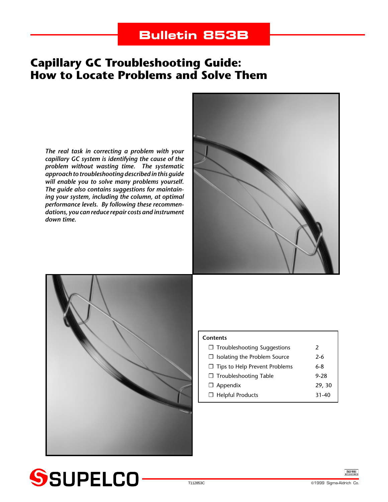# **Bulletin 853B**

# **Capillary GC Troubleshooting Guide: How to Locate Problems and Solve Them**

*The real task in correcting a problem with your capillary GC system is identifying the cause of the problem without wasting time. The systematic approach to troubleshooting described in this guide will enable you to solve many problems yourself. The guide also contains suggestions for maintaining your system, including the column, at optimal performance levels. By following these recommendations, you can reduce repair costs and instrument down time.*





| <b>Contents</b>                      |        |
|--------------------------------------|--------|
| $\Box$ Troubleshooting Suggestions   | 2      |
| $\Box$ Isolating the Problem Source  | $2-6$  |
| $\Box$ Tips to Help Prevent Problems | 6-8    |
| □ Troubleshooting Table              | 9-28   |
| $\Box$ Appendix                      | 29, 30 |
| $\Box$ Helpful Products              | 31-40  |

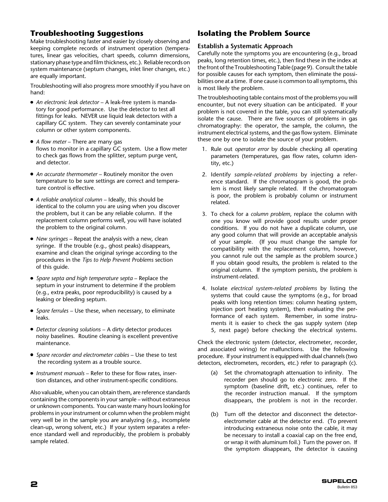# **Troubleshooting Suggestions**

Make troubleshooting faster and easier by closely observing and keeping complete records of instrument operation (temperatures, linear gas velocities, chart speeds, column dimensions, stationary phase type and film thickness, etc.). Reliable records on system maintenance (septum changes, inlet liner changes, etc.) are equally important.

Troubleshooting will also progress more smoothly if you have on hand:

- *An electronic leak detector* A leak-free system is mandatory for good performance. Use the detector to test all fittings for leaks. NEVER use liquid leak detectors with a capillary GC system. They can severely contaminate your column or other system components.
- *A flow meter* There are many gas flows to monitor in a capillary GC system. Use a flow meter to check gas flows from the splitter, septum purge vent, and detector.
- *An accurate thermometer* Routinely monitor the oven temperature to be sure settings are correct and temperature control is effective.
- *A reliable analytical column* Ideally, this should be identical to the column you are using when you discover the problem, but it can be any reliable column. If the replacement column performs well, you will have isolated the problem to the original column.
- *New syringes* Repeat the analysis with a new, clean syringe. If the trouble (e.g., ghost peaks) disappears, examine and clean the original syringe according to the procedures in the *Tips to Help Prevent Problems* section of this guide.
- *Spare septa and high temperature septa* Replace the septum in your instrument to determine if the problem (e.g., extra peaks, poor reproducibility) is caused by a leaking or bleeding septum.
- *Spare ferrules* Use these, when necessary, to eliminate leaks.
- *Detector cleaning solutions* A dirty detector produces noisy baselines. Routine cleaning is excellent preventive maintenance.
- *Spare recorder and electrometer cables* Use these to test the recording system as a trouble source.
- *Instrument manuals* Refer to these for flow rates, insertion distances, and other instrument-specific conditions.

Also valuable, when you can obtain them, are reference standards containing the components in your sample – without extraneous or unknown components. You can waste many hours looking for problems in your instrument or column when the problem might very well be in the sample you are analyzing (e.g., incomplete clean-up, wrong solvent, etc.) If your system separates a reference standard well and reproducibly, the problem is probably sample related.

# **Isolating the Problem Source**

## **Establish a Systematic Approach**

Carefully note the symptoms you are encountering (e.g., broad peaks, long retention times, etc.), then find these in the index at the front of the Troubleshooting Table (page 9). Consult the table for possible causes for each symptom, then eliminate the possibilities one at a time. If one cause is common to all symptoms, this is most likely the problem.

The troubleshooting table contains most of the problems you will encounter, but not every situation can be anticipated. If your problem is not covered in the table, you can still systematically isolate the cause. There are five sources of problems in gas chromatography: the operator, the sample, the column, the instrument electrical systems, and the gas flow system. Eliminate these one by one to isolate the source of your problem.

- 1. Rule out *operator error* by double checking all operating parameters (temperatures, gas flow rates, column identity, etc.)
- 2. Identify *sample-related problems* by injecting a reference standard. If the chromatogram is good, the problem is most likely sample related. If the chromatogram is poor, the problem is probably column or instrument related.
- 3. To check for a *column problem*, replace the column with one you know will provide good results under proper conditions. If you do not have a duplicate column, use any good column that will provide an acceptable analysis of your sample. (If you must change the sample for compatibility with the replacement column, however, you cannot rule out the sample as the problem source.) If you obtain good results, the problem is related to the original column. If the symptom persists, the problem is instrument-related.
- 4. Isolate *electrical system-related problems* by listing the systems that could cause the symptoms (e.g., for broad peaks with long retention times: column heating system, injection port heating system), then evaluating the performance of each system. Remember, in some instruments it is easier to check the gas supply system (step 5, next page) before checking the electrical systems.

Check the electronic system (detector, electrometer, recorder, and associated wiring) for malfunctions. Use the following procedure. If your instrument is equipped with dual channels (two detectors, electrometers, recorders, etc.) refer to paragraph (c).

- (a) Set the chromatograph attenuation to infinity. The recorder pen should go to electronic zero. If the symptom (baseline drift, etc.) continues, refer to the recorder instruction manual. If the symptom disappears, the problem is not in the recorder.
- (b) Turn off the detector and disconnect the detectorelectrometer cable at the detector end. (To prevent introducing extraneous noise onto the cable, it may be necessary to install a coaxial cap on the free end, or wrap it with aluminum foil.) Turn the power on. If the symptom disappears, the detector is causing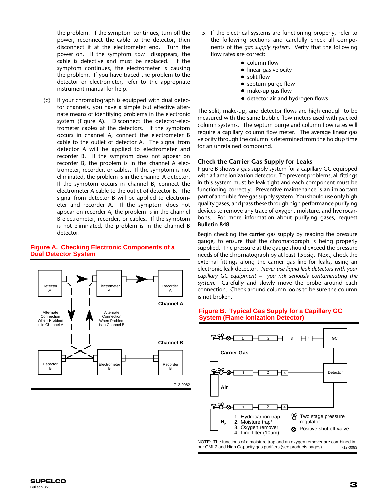the problem. If the symptom continues, turn off the power, reconnect the cable to the detector, then disconnect it at the electrometer end. Turn the power on. If the symptom *now* disappears, the cable is defective and must be replaced. If the symptom continues, the electrometer is causing the problem. If you have traced the problem to the detector or electrometer, refer to the appropriate instrument manual for help.

(c) If your chromatograph is equipped with dual detector channels, you have a simple but effective alternate means of identifying problems in the electronic system (Figure A). Disconnect the detector-electrometer cables at the detectors. If the symptom occurs in channel A, connect the electrometer B cable to the outlet of detector A. The signal from detector A will be applied to electrometer and recorder B. If the symptom does not appear on recorder B, the problem is in the channel A electrometer, recorder, or cables. If the symptom is not eliminated, the problem is in the channel A detector. If the symptom occurs in channel B, connect the electrometer A cable to the outlet of detector B. The signal from detector B will be applied to electrometer and recorder A. If the symptom does not appear on recorder A, the problem is in the channel B electrometer, recorder, or cables. If the symptom is not eliminated, the problem is in the channel B detector.

## **Figure A. Checking Electronic Components of a Dual Detector System**



- 5. If the electrical systems are functioning properly, refer to the following sections and carefully check all components of the *gas supply system*. Verify that the following flow rates are correct:
	- column flow
	- linear gas velocity
	- split flow
	- septum purge flow
	- make-up gas flow
	- detector air and hydrogen flows

The split, make-up, and detector flows are high enough to be measured with the same bubble flow meters used with packed column systems. The septum purge and column flow rates will require a capillary column flow meter. The average linear gas velocity through the column is determined from the holdup time for an unretained compound.

## **Check the Carrier Gas Supply for Leaks**

Figure B shows a gas supply system for a capillary GC equipped with a flame ionization detector. To prevent problems, all fittings in this system must be leak tight and each component must be functioning correctly. Preventive maintenance is an important part of a trouble-free gas supply system. You should use only high quality gases, and pass these through high performance purifying devices to remove any trace of oxygen, moisture, and hydrocarbons. For more information about purifying gases, request **Bulletin 848**.

Begin checking the carrier gas supply by reading the pressure gauge, to ensure that the chromatograph is being properly supplied. The pressure at the gauge should exceed the pressure needs of the chromatograph by at least 15psig. Next, check the external fittings along the carrier gas line for leaks, using an electronic leak detector. *Never use liquid leak detectors with your capillary GC equipment – you risk seriously contaminating the system*. Carefully and slowly move the probe around each connection. Check around column loops to be sure the column is not broken.

#### **Figure B. Typical Gas Supply for a Capillary GC System (Flame Ionization Detector)**



NOTE: The functions of a moisture trap and an oxygen remover are combined in our OMI-2 and High Capacity gas purifiers (see products pages). 712-0083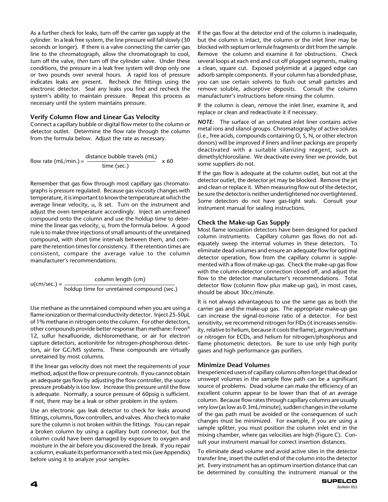As a further check for leaks, turn off the carrier gas supply at the cylinder. In a leak free system, the line pressure will fall slowly (30 seconds or longer). If there is a valve connecting the carrier gas line to the chromatograph, allow the chromatograph to cool, turn off the valve, *then* turn off the cylinder valve. Under these conditions, the pressure in a leak free system will drop only one or two pounds over several hours. A rapid loss of pressure indicates leaks are present. Recheck the fittings using the electronic detector. Seal any leaks you find and recheck the system's ability to maintain pressure. Repeat this process as necessary until the system maintains pressure.

## **Verify Column Flow and Linear Gas Velocity**

Connect a capillary bubble or digital flow meter to the column or detector outlet. Determine the flow rate through the column from the formula below. Adjust the rate as necessary.

flow rate (mL/min.) = distance bubble travels (mL)  $\times 60$ time (sec.)

Remember that gas flow through most capillary gas chromatographs is pressure regulated. Because gas viscosity changes with temperature, it is important to know the temperature at which the average linear velocity, u, is set. Turn on the instrument and adjust the oven temperature accordingly. Inject an unretained compound onto the column and use the holdup time to determine the linear gas velocity, u, from the formula below. A good rule is to make three injections of small amounts of the unretained compound, with short time intervals between them, and compare the retention times for consistency. If the retention times are consistent, compare the average value to the column manufacturer's recommendations.

 $u$ (cm/sec.) =  $\frac{column length (cm)}{1}$ holdup time for unretained compound (sec.)

Use methane as the unretained compound when you are using a flame ionization or thermal conductivity detector. Inject 25-50µL of 1% methane in nitrogen onto the column. For other detectors, other compounds provide better response than methane: Freon® 12, sulfur hexafluoride, dichloromethane, or air for electron capture detectors, acetonitrile for nitrogen-phosphorous detectors, air for GC/MS systems. These compounds are virtually unretained by most columns.

If the linear gas velocity does not meet the requirements of your method, adjust the flow or pressure controls. If you cannot obtain an adequate gas flow by adjusting the flow controller, the source pressure probably is too low. Increase this pressure until the flow is adequate. Normally, a source pressure of 60psig is sufficient. If not, there may be a leak or other problem in the system.

Use an electronic gas leak detector to check for leaks around fittings, columns, flow controllers, and valves. Also check to make sure the column is not broken within the fittings. You can repair a broken column by using a capillary butt connector, but the column could have been damaged by exposure to oxygen and moisture in the air before you discovered the break. If you repair a column, evaluate its performance with a test mix (see Appendix) before using it to analyze your samples.

If the gas flow at the detector end of the column is inadequate, but the column is intact, the column or the inlet liner may be blocked with septum or ferrule fragments or dirt from the sample. Remove the column and examine it for obstructions. Check several loops at each end and cut off plugged segments, making a clean, square cut. Exposed polyimide at a jagged edge can adsorb sample components. If your column has a bonded phase, you can use certain solvents to flush out small particles and remove soluble, adsorptive deposits. Consult the column manufacturer's instructions before rinsing the column.

If the column is clean, remove the inlet liner, examine it, and replace or clean and redeactivate it if necessary.

*NOTE:* The surface of an untreated inlet liner contains active metal ions and silanol groups. Chromatography of active solutes (i.e., free acids, compounds containing O, S, N, or other electron donors) will be improved if liners and liner packings are properly deactivated with a suitable silanizing reagent, such as dimethylchlorosilane. We deactivate every liner we provide, but some suppliers do not.

If the gas flow is adequate at the column outlet, but not at the detector outlet, the detector jet may be blocked. Remove the jet and clean or replace it. When measuring flow out of the detector, be sure the detector is neither undertightened nor overtightened. Some detectors do not have gas-tight seals. Consult your instrument manual for sealing instructions.

## **Check the Make-up Gas Supply**

Most flame ionization detectors have been designed for packed column instruments. Capillary column gas flows do not adequately sweep the internal volumes in these detectors. To eliminate dead volumes and ensure an adequate flow for optimal detector operation, flow from the capillary column is supplemented with a flow of make-up gas. Check the make-up gas flow with the column-detector connection closed off, and adjust the flow to the detector manufacturer's recommendations. Total detector flow (column flow plus make-up gas), in most cases, should be about 30cc/minute.

It is not always advantageous to use the same gas as both the carrier gas and the make-up gas. The appropriate make-up gas can increase the signal-to-noise ratio of a detector. For best sensitivity, we recommend nitrogen for FIDs (it increases sensitivity, relative to helium, because it cools the flame), argon/methane or nitrogen for ECDs, and helium for nitrogen/phosphorus and flame photometric detectors. Be sure to use only high purity gases and high performance gas purifiers.

# **Minimize Dead Volumes**

Inexperienced users of capillary columns often forget that dead or unswept volumes in the sample flow path can be a significant source of problems. Dead volume can make the efficiency of an excellent column appear to be lower than that of an average column. Because flow rates through capillary columns are usually very low (as low as 0.3mL/minute), sudden changes in the volume of the gas path must be avoided or the consequences of such changes must be minimized. For example, if you are using a sample splitter, you must position the column inlet end in the mixing chamber, where gas velocities are high (Figure C). Consult your instrument manual for correct insertion distances.

To eliminate dead volume and avoid active sites in the detector transfer line, insert the outlet end of the column into the detector jet. Every instrument has an optimum insertion distance that can be determined by consulting the instrument manual or the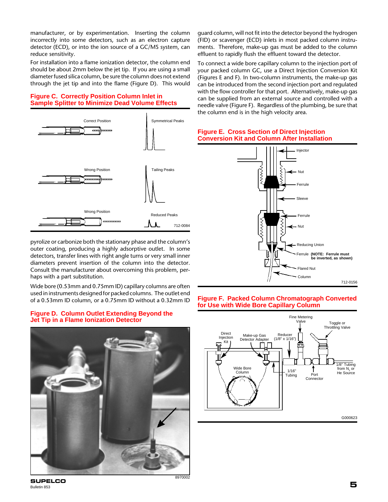manufacturer, or by experimentation. Inserting the column incorrectly into some detectors, such as an electron capture detector (ECD), or into the ion source of a GC/MS system, can reduce sensitivity.

For installation into a flame ionization detector, the column end should be about 2mm below the jet tip. If you are using a small diameter fused silica column, be sure the column does not extend through the jet tip and into the flame (Figure D). This would

## **Figure C. Correctly Position Column Inlet in Sample Splitter to Minimize Dead Volume Effects**



pyrolize or carbonize both the stationary phase and the column's outer coating, producing a highly adsorptive outlet. In some detectors, transfer lines with right angle turns or very small inner diameters prevent insertion of the column into the detector. Consult the manufacturer about overcoming this problem, perhaps with a part substitution.

Wide bore (0.53mm and 0.75mm ID) capillary columns are often used in instruments designed for packed columns. The outlet end of a 0.53mm ID column, or a 0.75mm ID without a 0.32mm ID

#### **Figure D. Column Outlet Extending Beyond the Jet Tip in a Flame Ionization Detector**



guard column, will not fit into the detector beyond the hydrogen (FID) or scavenger (ECD) inlets in most packed column instruments. Therefore, make-up gas must be added to the column effluent to rapidly flush the effluent toward the detector.

To connect a wide bore capillary column to the injection port of your packed column GC, use a Direct Injection Conversion Kit (Figures E and F). In two-column instruments, the make-up gas can be introduced from the second injection port and regulated with the flow controller for that port. Alternatively, make-up gas can be supplied from an external source and controlled with a needle valve (Figure F). Regardless of the plumbing, be sure that the column end is in the high velocity area.



# **Figure E. Cross Section of Direct Injection Conversion Kit and Column After Installation**

## **Figure F. Packed Column Chromatograph Converted for Use with Wide Bore Capillary Column**



**5 SUPELCO** Bulletin 853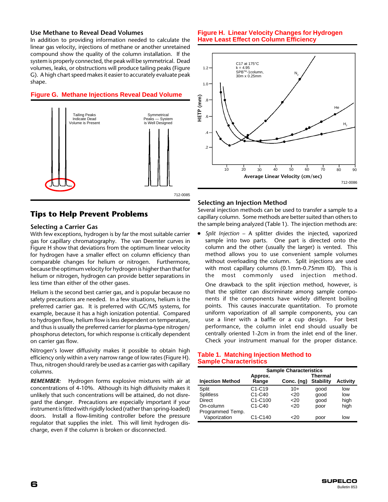#### **Use Methane to Reveal Dead Volumes**

In addition to providing information needed to calculate the linear gas velocity, injections of methane or another unretained compound show the quality of the column installation. If the system is properly connected, the peak will be symmetrical. Dead volumes, leaks, or obstructions will produce tailing peaks (Figure G). A high chart speed makes it easier to accurately evaluate peak shape.

#### **Figure G. Methane Injections Reveal Dead Volume**



# **Tips to Help Prevent Problems**

#### **Selecting a Carrier Gas**

With few exceptions, hydrogen is by far the most suitable carrier gas for capillary chromatography. The van Deemter curves in Figure H show that deviations from the optimum linear velocity for hydrogen have a smaller effect on column efficiency than comparable changes for helium or nitrogen. Furthermore, because the optimum velocity for hydrogen is higher than that for helium or nitrogen, hydrogen can provide better separations in less time than either of the other gases.

Helium is the second best carrier gas, and is popular because no safety precautions are needed. In a few situations, helium is the preferred carrier gas. It is preferred with GC/MS systems, for example, because it has a high ionization potential. Compared to hydrogen flow, helium flow is less dependent on temperature, and thus is usually the preferred carrier for plasma-type nitrogen/ phosphorus detectors, for which response is critically dependent on carrier gas flow.

Nitrogen's lower diffusivity makes it possible to obtain high efficiency only within a very narrow range of low rates (Figure H). Thus, nitrogen should rarely be used as a carrier gas with capillary columns.

*REMEMBER:*Hydrogen forms explosive mixtures with air at concentrations of 4-10%. Although its high diffusivity makes it unlikely that such concentrations will be attained, do not disregard the danger. Precautions are especially important if your instrument is fitted with rigidly locked (rather than spring-loaded) doors. Install a flow-limiting controller before the pressure regulator that supplies the inlet. This will limit hydrogen discharge, even if the column is broken or disconnected.

#### **Figure H. Linear Velocity Changes for Hydrogen Have Least Effect on Column Efficiency**



## **Selecting an Injection Method**

Several injection methods can be used to transfer a sample to a capillary column. Some methods are better suited than others to the sample being analyzed (Table 1). The injection methods are:

● *Split Injection* – A splitter divides the injected, vaporized sample into two parts. One part is directed onto the column and the other (usually the larger) is vented. This method allows you to use convenient sample volumes without overloading the column. Split injections are used with most capillary columns (0.1mm-0.75mm ID). This is the most commonly used injection method.

One drawback to the split injection method, however, is that the splitter can discriminate among sample components if the components have widely different boiling points. This causes inaccurate quantitation. To promote uniform vaporization of all sample components, you can use a liner with a baffle or a cup design. For best performance, the column inlet end should usually be centrally oriented 1-2cm in from the inlet end of the liner. Check your instrument manual for the proper distance.

#### **Table 1. Matching Injection Method to Sample Characteristics**

|                         | <b>Sample Characteristics</b> |            |                  |                 |
|-------------------------|-------------------------------|------------|------------------|-----------------|
|                         | Approx.                       |            | <b>Thermal</b>   |                 |
| <b>Injection Method</b> | Range                         | Conc. (ng) | <b>Stability</b> | <b>Activity</b> |
| Split                   | $C1-C19$                      | $10+$      | good             | low             |
| <b>Splitless</b>        | C1-C40                        | 20         | qood             | low             |
| <b>Direct</b>           | C1-C100                       | 20         | qood             | high            |
| On-column               | $C1-C40$                      | 20         | poor             | high            |
| Programmed Temp.        |                               |            |                  |                 |
| Vaporization            | C1-C140                       | <20        | poor             | low             |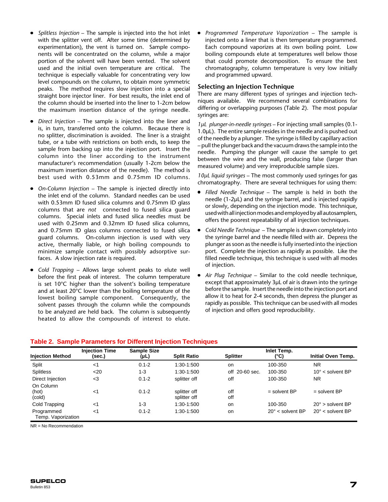- Splitless Injection The sample is injected into the hot inlet with the splitter vent off. After some time (determined by experimentation), the vent is turned on. Sample components will be concentrated on the column, while a major portion of the solvent will have been vented. The solvent used and the initial oven temperature are critical. The technique is especially valuable for concentrating very low level compounds on the column, to obtain more symmetric peaks. The method requires slow injection into a special straight bore injector liner. For best results, the inlet end of the column should be inserted into the liner to 1-2cm below the maximum insertion distance of the syringe needle.
- Direct Injection The sample is injected into the liner and is, in turn, transferred onto the column. Because there is no splitter, discrimination is avoided. The liner is a straight tube, or a tube with restrictions on both ends, to keep the sample from backing up into the injection port. Insert the column into the liner according to the instrument manufacturer's recommendation (usually 1-2cm below the maximum insertion distance of the needle). The method is best used with 0.53mm and 0.75mm ID columns.
- *On-Column Injection* The sample is injected directly into the inlet end of the column. Standard needles can be used with 0.53mm ID fused silica columns and 0.75mm ID glass columns that are *not* connected to fused silica guard columns. Special inlets and fused silica needles must be used with 0.25mm and 0.32mm ID fused silica columns, and 0.75mm ID glass columns connected to fused silica guard columns. On-column injection is used with very active, thermally liable, or high boiling compounds to minimize sample contact with possibly adsorptive surfaces. A slow injection rate is required.
- Cold Trapping Allows large solvent peaks to elute well before the first peak of interest. The column temperature is set 10°C higher than the solvent's boiling temperature and at least 20°C lower than the boiling temperature of the lowest boiling sample component. Consequently, the solvent passes through the column while the compounds to be analyzed are held back. The column is subsequently heated to allow the compounds of interest to elute.

● *Programmed Temperature Vaporization* – The sample is injected onto a liner that is then temperature programmed. Each compound vaporizes at its own boiling point. Low boiling compounds elute at temperatures well below those that could promote decomposition. To ensure the best chromatography, column temperature is very low initially and programmed upward.

# **Selecting an Injection Technique**

There are many different types of syringes and injection techniques available. We recommend several combinations for differing or overlapping purposes (Table 2). The most popular syringes are:

*1µL plunger-in-needle syringes* – For injecting small samples (0.1- 1.0µL). The entire sample resides in the needle and is pushed out of the needle by a plunger. The syringe is filled by capillary action – pull the plunger back and the vacuum draws the sample into the needle. Pumping the plunger will cause the sample to get between the wire and the wall, producing false (larger than measured volume) and very irreproducible sample sizes.

*10µL liquid syringes* – The most commonly used syringes for gas chromatography. There are several techniques for using them:

- *Filled Needle Technique*  The sample is held in both the needle (1-2µL) and the syringe barrel, and is injected rapidly or slowly, depending on the injection mode. This technique, used with all injection modes and employed by all autosamplers, offers the poorest repeatability of all injection techniques.
- *Cold Needle Technique* The sample is drawn completely into the syringe barrel and the needle filled with air. Depress the plunger as soon as the needle is fully inserted into the injection port. Complete the injection as rapidly as possible. Like the filled needle technique, this technique is used with all modes of injection.
- Air Plug Technique Similar to the cold needle technique, except that approximately 3µL of air is drawn into the syringe before the sample. Insert the needle into the injection port and allow it to heat for 2-4 seconds, then depress the plunger as rapidly as possible. This technique can be used with all modes of injection and offers good reproducibility.

# **Table 2. Sample Parameters for Different Injection Techniques**

| <b>Injection Method</b>          | <b>Injection Time</b><br>(sec.) | <b>Sample Size</b><br>(µL) | <b>Split Ratio</b>           | <b>Splitter</b> | Inlet Temp.<br>$(^{\circ}C)$ | Initial Oven Temp.        |
|----------------------------------|---------------------------------|----------------------------|------------------------------|-----------------|------------------------------|---------------------------|
| Split                            | $<$ 1                           | $0.1 - 2$                  | 1:30-1:500                   | <b>on</b>       | 100-350                      | <b>NR</b>                 |
| <b>Splitless</b>                 | $20$                            | $1 - 3$                    | 1:30-1:500                   | off 20-60 sec.  | 100-350                      | $10^{\circ}$ < solvent BP |
| Direct Injection                 | $<$ 3                           | $0.1 - 2$                  | splitter off                 | off             | 100-350                      | NR.                       |
| On Column<br>(hot)<br>(cold)     | $<$ 1                           | $0.1 - 2$                  | splitter off<br>splitter off | off<br>off      | $=$ solvent BP               | $=$ solvent BP            |
| Cold Trapping                    | $<$ 1                           | $1 - 3$                    | 1:30-1:500                   | on              | 100-350                      | $20^\circ$ > solvent BP   |
| Programmed<br>Temp. Vaporization | $<$ 1                           | $0.1 - 2$                  | 1:30-1:500                   | <b>on</b>       | $20^\circ$ < solvent BP      | $20^\circ$ < solvent BP   |

NR = No Recommendation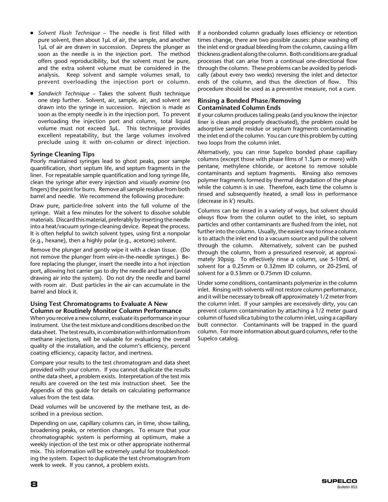- *Solvent Flush Technique* The needle is first filled with pure solvent, then about 1µL of air, the sample, and another 1µL of air are drawn in succession. Depress the plunger as soon as the needle is in the injection port. The method offers good reproducibility, but the solvent must be pure, and the extra solvent volume must be considered in the analysis. Keep solvent and sample volumes small, to prevent overloading the injection port or column.
- Sandwich Technique Takes the solvent flush technique one step further. Solvent, air, sample, air, and solvent are drawn into the syringe in succession. Injection is made as soon as the empty needle is in the injection port. To prevent overloading the injection port and column, total liquid volume must not exceed 3µL. This technique provides excellent repeatability, but the large volumes involved preclude using it with on-column or direct injection.

#### **Syringe Cleaning Tips**

Poorly maintained syringes lead to ghost peaks, poor sample quantification, short septum life, and septum fragments in the liner. For repeatable sample quantification and long syringe life, clean the syringe after every injection and *visually examine* (no fingers) the point for burrs. Remove all sample residue from both barrel and needle. We recommend the following procedure:

Draw pure, particle-free solvent into the full volume of the syringe. Wait a few minutes for the solvent to dissolve soluble materials. Discard this material, preferably by inserting the needle into a heat/vacuum syringe-cleaning device. Repeat the process. It is often helpful to switch solvent types, using first a nonpolar (e.g., hexane), then a highly polar (e.g., acetone) solvent.

Remove the plunger and gently wipe it with a clean tissue. (Do not remove the plunger from wire-in-the-needle syringes.) Before replacing the plunger, insert the needle into a hot injection port, allowing hot carrier gas to dry the needle and barrel (avoid drawing air into the system). Do not dry the needle and barrel with room air. Dust particles in the air can accumulate in the barrel and block it.

#### **Using Test Chromatograms to Evaluate A New Column or Routinely Monitor Column Performance**

When you receive a new column, evaluate its performance in your instrument. Use the test mixture and conditions described on the data sheet. The test results, in combination with information from methane injections, will be valuable for evaluating the overall quality of the installation, and the column's efficiency, percent coating efficiency, capacity factor, and inertness.

Compare your results to the test chromatogram and data sheet provided with your column. If you cannot duplicate the results onthe data sheet, a problem exists. Interpretation of the test mix results are covered on the test mix instruction sheet. See the Appendix of this guide for details on calculating performance values from the test data.

Dead volumes will be uncovered by the methane test, as described in a previous section.

Depending on use, capillary columns can, in time, show tailing, broadening peaks, or retention changes. To ensure that your chromatographic system is performing at optimum, make a weekly injection of the test mix or other appropriate isothermal mix. This information will be extremely useful for troubleshooting the system. Expect to duplicate the test chromatogram from week to week. If you cannot, a problem exists.

If a nonbonded column gradually loses efficiency or retention times change, there are two possible causes: phase washing off the inlet end or gradual bleeding from the column, causing a film thickness gradient along the column. Both conditions are gradual processes that can arise from a continual one-directional flow through the column. These problems can be avoided by periodically (about every two weeks) reversing the inlet and detector ends of the column, and thus the direction of flow. This procedure should be used as a preventive measure, not a cure.

#### **Rinsing a Bonded Phase/Removing Contaminated Column Ends**

If your column produces tailing peaks (and you know the injector liner is clean and properly deactivated), the problem could be adsorptive sample residue or septum fragments contaminating the inlet end of the column. You can cure this problem by cutting two loops from the column inlet.

Alternatively, you can rinse Supelco bonded phase capillary columns (except those with phase films of 1.5µm or more) with pentane, methylene chloride, or acetone to remove soluble contaminants and septum fragments. Rinsing also removes polymer fragments formed by thermal degradation of the phase while the column is in use. Therefore, each time the column is rinsed and subsequently heated, a small loss in performance (decrease in k') results.

Columns can be rinsed in a variety of ways, but solvent should *always* flow from the column outlet to the inlet, so septum particles and other contaminants are flushed from the inlet, not further into the column. Usually, the easiest way to rinse a column is to attach the inlet end to a vacuum source and pull the solvent through the column. Alternatively, solvent can be pushed through the column, from a pressurized reservoir, at approximately 30psig. To effectively rinse a column, use 5-10mL of solvent for a 0.25mm or 0.32mm ID column, or 20-25mL of solvent for a 0.53mm or 0.75mm ID column.

Under some conditions, contaminants polymerize in the column inlet. Rinsing with solvents will not restore column performance, and it will be necessary to break off approximately 1/2 meter from the column inlet. If your samples are excessively dirty, you can prevent column contamination by attaching a 1/2 meter guard column of fused silica tubing to the column inlet, using a capillary butt connector. Contaminants will be trapped in the guard column. For more information about guard columns, refer to the Supelco catalog.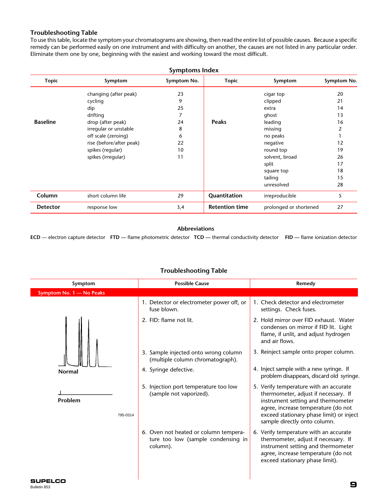# **Troubleshooting Table**

To use this table, locate the symptom your chromatograms are showing, then read the entire list of possible causes. Because a specific remedy can be performed easily on one instrument and with difficulty on another, the causes are not listed in any particular order. Eliminate them one by one, beginning with the easiest and working toward the most difficult.

| <b>Symptoms Index</b> |                          |             |                       |                        |             |
|-----------------------|--------------------------|-------------|-----------------------|------------------------|-------------|
| <b>Topic</b>          | Symptom                  | Symptom No. | <b>Topic</b>          | Symptom                | Symptom No. |
|                       | changing (after peak)    | 23          |                       | cigar top              | 20          |
|                       | cycling                  | 9           |                       | clipped                | 21          |
|                       | dip                      | 25          |                       | extra                  | 14          |
|                       | drifting                 | 7           |                       | ghost                  | 13          |
| <b>Baseline</b>       | drop (after peak)        | 24          | <b>Peaks</b>          | leading                | 16          |
|                       | irregular or unstable    | 8           |                       | missing                | 2           |
|                       | off scale (zeroing)      | 6           |                       | no peaks               |             |
|                       | rise (before/after peak) | 22          |                       | negative               | 12          |
|                       | spikes (regular)         | 10          |                       | round top              | 19          |
|                       | spikes (irregular)       | 11          |                       | solvent, broad         | 26          |
|                       |                          |             |                       | split                  | 17          |
|                       |                          |             |                       | square top             | 18          |
|                       |                          |             |                       | tailing                | 15          |
|                       |                          |             |                       | unresolved             | 28          |
| Column                | short column life        | 29          | Quantitation          | irreproducible         | 5           |
| <b>Detector</b>       | response low             | 3,4         | <b>Retention time</b> | prolonged or shortened | 27          |

#### **Abbreviations**

**ECD** — electron capture detector **FTD —** flame photometric detector **TCD —** thermal conductivity detector **FID —** flame ionization detector

#### **Troubleshooting Table**

| Symptom                  | <b>Possible Cause</b>                                                                   | Remedy                                                                                                                                                                                                                                  |
|--------------------------|-----------------------------------------------------------------------------------------|-----------------------------------------------------------------------------------------------------------------------------------------------------------------------------------------------------------------------------------------|
| Symptom No. 1 - No Peaks |                                                                                         |                                                                                                                                                                                                                                         |
|                          | 1. Detector or electrometer power off, or<br>fuse blown.                                | 1. Check detector and electrometer<br>settings. Check fuses.                                                                                                                                                                            |
|                          | 2. FID: flame not lit.                                                                  | 2. Hold mirror over FID exhaust. Water<br>condenses on mirror if FID lit. Light<br>flame, if unlit, and adjust hydrogen<br>and air flows.                                                                                               |
|                          | 3. Sample injected onto wrong column<br>(multiple column chromatograph).                | 3. Reinject sample onto proper column.                                                                                                                                                                                                  |
| <b>Normal</b>            | 4. Syringe defective.                                                                   | 4. Inject sample with a new syringe. If<br>problem disappears, discard old syringe.                                                                                                                                                     |
| Problem<br>795-0314      | 5. Injection port temperature too low<br>(sample not vaporized).                        | 5. Verify temperature with an accurate<br>thermometer, adjust if necessary. If<br>instrument setting and thermometer<br>agree, increase temperature (do not<br>exceed stationary phase limit) or inject<br>sample directly onto column. |
|                          | 6. Oven not heated or column tempera-<br>ture too low (sample condensing in<br>column). | 6. Verify temperature with an accurate<br>thermometer, adjust if necessary. If<br>instrument setting and thermometer<br>agree, increase temperature (do not<br>exceed stationary phase limit).                                          |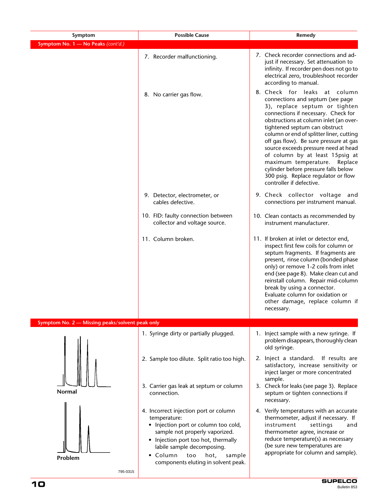| Symptom                                         | <b>Possible Cause</b>                                                                                                                                                                                                                                                            | Remedy                                                                                                                                                                                                                                                                                                                                                                                                                                                                                                                          |
|-------------------------------------------------|----------------------------------------------------------------------------------------------------------------------------------------------------------------------------------------------------------------------------------------------------------------------------------|---------------------------------------------------------------------------------------------------------------------------------------------------------------------------------------------------------------------------------------------------------------------------------------------------------------------------------------------------------------------------------------------------------------------------------------------------------------------------------------------------------------------------------|
| Symptom No. 1 - No Peaks (cont'd.)              |                                                                                                                                                                                                                                                                                  |                                                                                                                                                                                                                                                                                                                                                                                                                                                                                                                                 |
|                                                 | 7. Recorder malfunctioning.                                                                                                                                                                                                                                                      | 7. Check recorder connections and ad-<br>just if necessary. Set attenuation to<br>infinity. If recorder pen does not go to<br>electrical zero, troubleshoot recorder<br>according to manual.                                                                                                                                                                                                                                                                                                                                    |
|                                                 | 8. No carrier gas flow.                                                                                                                                                                                                                                                          | 8. Check for leaks at column<br>connections and septum (see page<br>3), replace septum or tighten<br>connections if necessary. Check for<br>obstructions at column inlet (an over-<br>tightened septum can obstruct<br>column or end of splitter liner, cutting<br>off gas flow). Be sure pressure at gas<br>source exceeds pressure need at head<br>of column by at least 15psig at<br>maximum temperature. Replace<br>cylinder before pressure falls below<br>300 psig. Replace regulator or flow<br>controller if defective. |
|                                                 | 9. Detector, electrometer, or<br>cables defective.                                                                                                                                                                                                                               | 9. Check collector voltage and<br>connections per instrument manual.                                                                                                                                                                                                                                                                                                                                                                                                                                                            |
|                                                 | 10. FID: faulty connection between<br>collector and voltage source.                                                                                                                                                                                                              | 10. Clean contacts as recommended by<br>instrument manufacturer.                                                                                                                                                                                                                                                                                                                                                                                                                                                                |
|                                                 | 11. Column broken.                                                                                                                                                                                                                                                               | 11. If broken at inlet or detector end,<br>inspect first few coils for column or<br>septum fragments. If fragments are<br>present, rinse column (bonded phase<br>only) or remove 1-2 coils from inlet<br>end (see page 8). Make clean cut and<br>reinstall column. Repair mid-column<br>break by using a connector.<br>Evaluate column for oxidation or<br>other damage, replace column if<br>necessary.                                                                                                                        |
| Symptom No. 2 - Missing peaks/solvent peak only |                                                                                                                                                                                                                                                                                  |                                                                                                                                                                                                                                                                                                                                                                                                                                                                                                                                 |
|                                                 | 1. Syringe dirty or partially plugged.                                                                                                                                                                                                                                           | 1. Inject sample with a new syringe. If<br>problem disappears, thoroughly clean<br>old syringe.                                                                                                                                                                                                                                                                                                                                                                                                                                 |
|                                                 | 2. Sample too dilute. Split ratio too high.                                                                                                                                                                                                                                      | 2. Inject a standard. If results are<br>satisfactory, increase sensitivity or<br>inject larger or more concentrated                                                                                                                                                                                                                                                                                                                                                                                                             |
| <b>Normal</b>                                   | 3. Carrier gas leak at septum or column<br>connection.                                                                                                                                                                                                                           | sample.<br>3. Check for leaks (see page 3). Replace<br>septum or tighten connections if<br>necessary.                                                                                                                                                                                                                                                                                                                                                                                                                           |
| Problem<br>795-0315                             | 4. Incorrect injection port or column<br>temperature:<br>• Injection port or column too cold,<br>sample not properly vaporized.<br>• Injection port too hot, thermally<br>labile sample decomposing.<br>• Column<br>too<br>hot,<br>sample<br>components eluting in solvent peak. | 4. Verify temperatures with an accurate<br>thermometer, adjust if necessary. If<br>instrument<br>settings<br>and<br>thermometer agree, increase or<br>reduce temperature(s) as necessary<br>(be sure new temperatures are<br>appropriate for column and sample).                                                                                                                                                                                                                                                                |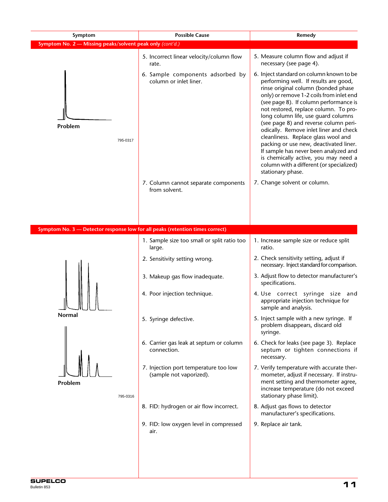| Symptom                                                                       | <b>Possible Cause</b>                                            | Remedy                                                                                                                                                                                                                                                                                                                                                                                                                                                                                                                                                                                                               |
|-------------------------------------------------------------------------------|------------------------------------------------------------------|----------------------------------------------------------------------------------------------------------------------------------------------------------------------------------------------------------------------------------------------------------------------------------------------------------------------------------------------------------------------------------------------------------------------------------------------------------------------------------------------------------------------------------------------------------------------------------------------------------------------|
| Symptom No. 2 - Missing peaks/solvent peak only (cont'd.)                     |                                                                  |                                                                                                                                                                                                                                                                                                                                                                                                                                                                                                                                                                                                                      |
|                                                                               | 5. Incorrect linear velocity/column flow<br>rate.                | 5. Measure column flow and adjust if<br>necessary (see page 4).                                                                                                                                                                                                                                                                                                                                                                                                                                                                                                                                                      |
| Problem<br>795-0317                                                           | 6. Sample components adsorbed by<br>column or inlet liner.       | 6. Inject standard on column known to be<br>performing well. If results are good,<br>rinse original column (bonded phase<br>only) or remove 1-2 coils from inlet end<br>(see page 8). If column performance is<br>not restored, replace column. To pro-<br>long column life, use guard columns<br>(see page 8) and reverse column peri-<br>odically. Remove inlet liner and check<br>cleanliness. Replace glass wool and<br>packing or use new, deactivated liner.<br>If sample has never been analyzed and<br>is chemically active, you may need a<br>column with a different (or specialized)<br>stationary phase. |
|                                                                               | 7. Column cannot separate components<br>from solvent.            | 7. Change solvent or column.                                                                                                                                                                                                                                                                                                                                                                                                                                                                                                                                                                                         |
|                                                                               |                                                                  |                                                                                                                                                                                                                                                                                                                                                                                                                                                                                                                                                                                                                      |
| Symptom No. 3 - Detector response low for all peaks (retention times correct) |                                                                  |                                                                                                                                                                                                                                                                                                                                                                                                                                                                                                                                                                                                                      |
|                                                                               | 1. Sample size too small or split ratio too<br>large.            | 1. Increase sample size or reduce split<br>ratio.                                                                                                                                                                                                                                                                                                                                                                                                                                                                                                                                                                    |
|                                                                               | 2. Sensitivity setting wrong.                                    | 2. Check sensitivity setting, adjust if<br>necessary. Inject standard for comparison.                                                                                                                                                                                                                                                                                                                                                                                                                                                                                                                                |
|                                                                               | 3. Makeup gas flow inadequate.                                   | 3. Adjust flow to detector manufacturer's<br>specifications.                                                                                                                                                                                                                                                                                                                                                                                                                                                                                                                                                         |
|                                                                               | 4. Poor injection technique.                                     | 4. Use correct syringe size and<br>appropriate injection technique for<br>sample and analysis.                                                                                                                                                                                                                                                                                                                                                                                                                                                                                                                       |
| Normal                                                                        | 5. Syringe defective.                                            | 5. Inject sample with a new syringe. If<br>problem disappears, discard old<br>syringe.                                                                                                                                                                                                                                                                                                                                                                                                                                                                                                                               |
|                                                                               | 6. Carrier gas leak at septum or column<br>connection.           | 6. Check for leaks (see page 3). Replace<br>septum or tighten connections if<br>necessary.                                                                                                                                                                                                                                                                                                                                                                                                                                                                                                                           |
| Problem<br>795-0316                                                           | 7. Injection port temperature too low<br>(sample not vaporized). | 7. Verify temperature with accurate ther-<br>mometer, adjust if necessary. If instru-<br>ment setting and thermometer agree,<br>increase temperature (do not exceed<br>stationary phase limit).                                                                                                                                                                                                                                                                                                                                                                                                                      |
|                                                                               | 8. FID: hydrogen or air flow incorrect.                          | 8. Adjust gas flows to detector<br>manufacturer's specifications.                                                                                                                                                                                                                                                                                                                                                                                                                                                                                                                                                    |
|                                                                               | 9. FID: low oxygen level in compressed<br>air.                   | 9. Replace air tank.                                                                                                                                                                                                                                                                                                                                                                                                                                                                                                                                                                                                 |
|                                                                               |                                                                  |                                                                                                                                                                                                                                                                                                                                                                                                                                                                                                                                                                                                                      |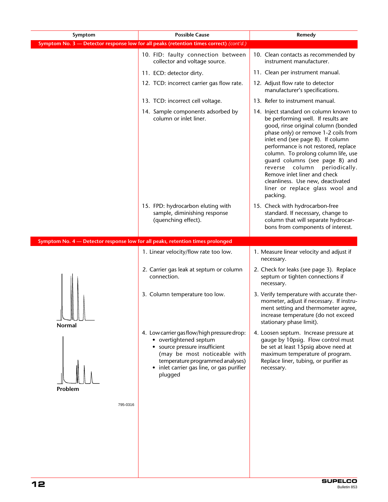| Symptom                                                                        | <b>Possible Cause</b>                                                                                                                                                                                                               | Remedy                                                                                                                                                                                                                                                                                                                                                                                                                                                                   |
|--------------------------------------------------------------------------------|-------------------------------------------------------------------------------------------------------------------------------------------------------------------------------------------------------------------------------------|--------------------------------------------------------------------------------------------------------------------------------------------------------------------------------------------------------------------------------------------------------------------------------------------------------------------------------------------------------------------------------------------------------------------------------------------------------------------------|
|                                                                                | Symptom No. 3 - Detector response low for all peaks (retention times correct) (cont'd.)                                                                                                                                             |                                                                                                                                                                                                                                                                                                                                                                                                                                                                          |
|                                                                                | 10. FID: faulty connection between<br>collector and voltage source.                                                                                                                                                                 | 10. Clean contacts as recommended by<br>instrument manufacturer.                                                                                                                                                                                                                                                                                                                                                                                                         |
|                                                                                | 11. ECD: detector dirty.                                                                                                                                                                                                            | 11. Clean per instrument manual.                                                                                                                                                                                                                                                                                                                                                                                                                                         |
|                                                                                | 12. TCD: incorrect carrier gas flow rate.                                                                                                                                                                                           | 12. Adjust flow rate to detector<br>manufacturer's specifications.                                                                                                                                                                                                                                                                                                                                                                                                       |
|                                                                                | 13. TCD: incorrect cell voltage.                                                                                                                                                                                                    | 13. Refer to instrument manual.                                                                                                                                                                                                                                                                                                                                                                                                                                          |
|                                                                                | 14. Sample components adsorbed by<br>column or inlet liner.                                                                                                                                                                         | 14. Inject standard on column known to<br>be performing well. If results are<br>good, rinse original column (bonded<br>phase only) or remove 1-2 coils from<br>inlet end (see page 8). If column<br>performance is not restored, replace<br>column. To prolong column life, use<br>guard columns (see page 8) and<br>reverse column<br>periodically.<br>Remove inlet liner and check<br>cleanliness. Use new, deactivated<br>liner or replace glass wool and<br>packing. |
|                                                                                | 15. FPD: hydrocarbon eluting with<br>sample, diminishing response<br>(quenching effect).                                                                                                                                            | 15. Check with hydrocarbon-free<br>standard. If necessary, change to<br>column that will separate hydrocar-<br>bons from components of interest.                                                                                                                                                                                                                                                                                                                         |
| Symptom No. 4 - Detector response low for all peaks, retention times prolonged |                                                                                                                                                                                                                                     |                                                                                                                                                                                                                                                                                                                                                                                                                                                                          |
|                                                                                | 1. Linear velocity/flow rate too low.                                                                                                                                                                                               | 1. Measure linear velocity and adjust if<br>necessary.                                                                                                                                                                                                                                                                                                                                                                                                                   |
|                                                                                | 2. Carrier gas leak at septum or column<br>connection.                                                                                                                                                                              | 2. Check for leaks (see page 3). Replace<br>septum or tighten connections if<br>necessary.                                                                                                                                                                                                                                                                                                                                                                               |
| IN JUNI<br>Normal                                                              | 3. Column temperature too low.                                                                                                                                                                                                      | 3. Verify temperature with accurate ther-<br>mometer, adjust if necessary. If instru-<br>ment setting and thermometer agree,<br>increase temperature (do not exceed<br>stationary phase limit).                                                                                                                                                                                                                                                                          |
| Problem                                                                        | 4. Low carrier gas flow/high pressure drop:<br>• overtightened septum<br>• source pressure insufficient<br>(may be most noticeable with<br>temperature programmed analyses)<br>• inlet carrier gas line, or gas purifier<br>plugged | 4. Loosen septum. Increase pressure at<br>gauge by 10psig. Flow control must<br>be set at least 15psig above need at<br>maximum temperature of program.<br>Replace liner, tubing, or purifier as<br>necessary.                                                                                                                                                                                                                                                           |
| 795-0316                                                                       |                                                                                                                                                                                                                                     |                                                                                                                                                                                                                                                                                                                                                                                                                                                                          |
|                                                                                |                                                                                                                                                                                                                                     |                                                                                                                                                                                                                                                                                                                                                                                                                                                                          |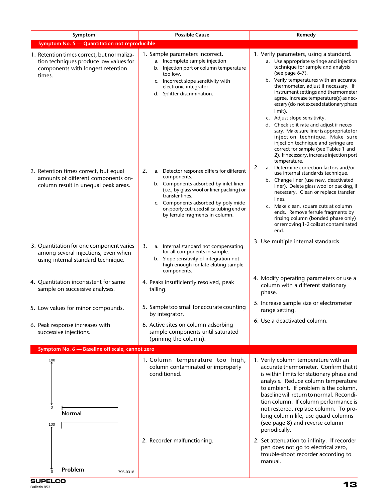| Symptom                                                                                                                             | <b>Possible Cause</b>                                                                                                                                                                                                                                                                          | Remedy                                                                                                                                                                                                                                                                                                                                                                                                                                                                                                                                                                                                                                                                    |  |  |  |  |
|-------------------------------------------------------------------------------------------------------------------------------------|------------------------------------------------------------------------------------------------------------------------------------------------------------------------------------------------------------------------------------------------------------------------------------------------|---------------------------------------------------------------------------------------------------------------------------------------------------------------------------------------------------------------------------------------------------------------------------------------------------------------------------------------------------------------------------------------------------------------------------------------------------------------------------------------------------------------------------------------------------------------------------------------------------------------------------------------------------------------------------|--|--|--|--|
| Symptom No. 5 - Quantitation not reproducible                                                                                       |                                                                                                                                                                                                                                                                                                |                                                                                                                                                                                                                                                                                                                                                                                                                                                                                                                                                                                                                                                                           |  |  |  |  |
| 1. Retention times correct, but normaliza-<br>tion techniques produce low values for<br>components with longest retention<br>times. | 1. Sample parameters incorrect.<br>a. Incomplete sample injection<br>b. Injection port or column temperature<br>too low.<br>c. Incorrect slope sensitivity with<br>electronic integrator.<br>d. Splitter discrimination.                                                                       | 1. Verify parameters, using a standard.<br>a. Use appropriate syringe and injection<br>technique for sample and analysis<br>(see page 6-7).<br>b. Verify temperatures with an accurate<br>thermometer, adjust if necessary. If<br>instrument settings and thermometer<br>agree, increase temperature(s) as nec-<br>essary (do not exceed stationary phase<br>limit).<br>c. Adjust slope sensitivity.<br>d. Check split rate and adjust if neces<br>sary. Make sure liner is appropriate for<br>injection technique. Make sure<br>injection technique and syringe are<br>correct for sample (see Tables 1 and<br>2). If necessary, increase injection port<br>temperature. |  |  |  |  |
| 2. Retention times correct, but equal<br>amounts of different components on-<br>column result in unequal peak areas.                | 2.<br>a. Detector response differs for different<br>components.<br>b. Components adsorbed by inlet liner<br>(i.e., by glass wool or liner packing) or<br>transfer lines.<br>c. Components adsorbed by polyimide<br>on poorly cut fused silica tubing end or<br>by ferrule fragments in column. | 2.<br>a. Determine correction factors and/or<br>use internal standards technique.<br>b. Change liner (use new, deactivated<br>liner). Delete glass wool or packing, if<br>necessary. Clean or replace transfer<br>lines.<br>c. Make clean, square cuts at column<br>ends. Remove ferrule fragments by<br>rinsing column (bonded phase only)<br>or removing 1-2 coils at contaminated<br>end.                                                                                                                                                                                                                                                                              |  |  |  |  |
| 3. Quantitation for one component varies<br>among several injections, even when<br>using internal standard technique.               | 3.<br>a. Internal standard not compensating<br>for all components in sample.<br>b. Slope sensitivity of integration not<br>high enough for late eluting sample<br>components.                                                                                                                  | 3. Use multiple internal standards.                                                                                                                                                                                                                                                                                                                                                                                                                                                                                                                                                                                                                                       |  |  |  |  |
| 4. Quantitation inconsistent for same<br>sample on successive analyses.                                                             | 4. Peaks insufficiently resolved, peak<br>tailing.                                                                                                                                                                                                                                             | 4. Modify operating parameters or use a<br>column with a different stationary<br>phase.                                                                                                                                                                                                                                                                                                                                                                                                                                                                                                                                                                                   |  |  |  |  |
| 5. Low values for minor compounds.                                                                                                  | 5. Sample too small for accurate counting<br>by integrator.                                                                                                                                                                                                                                    | 5. Increase sample size or electrometer<br>range setting.                                                                                                                                                                                                                                                                                                                                                                                                                                                                                                                                                                                                                 |  |  |  |  |
| 6. Peak response increases with<br>successive injections.                                                                           | 6. Active sites on column adsorbing<br>sample components until saturated<br>(priming the column).                                                                                                                                                                                              | 6. Use a deactivated column.                                                                                                                                                                                                                                                                                                                                                                                                                                                                                                                                                                                                                                              |  |  |  |  |
| Symptom No. 6 - Baseline off scale, cannot zero                                                                                     |                                                                                                                                                                                                                                                                                                |                                                                                                                                                                                                                                                                                                                                                                                                                                                                                                                                                                                                                                                                           |  |  |  |  |
| 100<br>0<br>Normal<br>100                                                                                                           | 1. Column temperature too high,<br>column contaminated or improperly<br>conditioned.                                                                                                                                                                                                           | 1. Verify column temperature with an<br>accurate thermometer. Confirm that it<br>is within limits for stationary phase and<br>analysis. Reduce column temperature<br>to ambient. If problem is the column,<br>baseline will return to normal. Recondi-<br>tion column. If column performance is<br>not restored, replace column. To pro-<br>long column life, use guard columns<br>(see page 8) and reverse column<br>periodically.                                                                                                                                                                                                                                       |  |  |  |  |
| Problem<br>795-0318                                                                                                                 | 2. Recorder malfunctioning.                                                                                                                                                                                                                                                                    | 2. Set attenuation to infinity. If recorder<br>pen does not go to electrical zero,<br>trouble-shoot recorder according to<br>manual.                                                                                                                                                                                                                                                                                                                                                                                                                                                                                                                                      |  |  |  |  |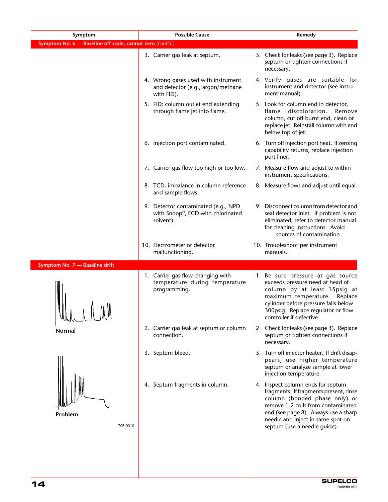| Symptom                                                   | <b>Possible Cause</b>                                                                  | Remedy                                                                                                                                                                                                                                                          |
|-----------------------------------------------------------|----------------------------------------------------------------------------------------|-----------------------------------------------------------------------------------------------------------------------------------------------------------------------------------------------------------------------------------------------------------------|
| Symptom No. 6 - Baseline off scale, cannot zero (cont'd.) |                                                                                        |                                                                                                                                                                                                                                                                 |
|                                                           | 3. Carrier gas leak at septum.                                                         | 3. Check for leaks (see page 3). Replace<br>septum or tighten connections if<br>necessary.                                                                                                                                                                      |
|                                                           | 4. Wrong gases used with instrument<br>and detector (e.g., argon/methane<br>with FID). | 4. Verify gases are suitable for<br>instrument and detector (see instru<br>ment manual).                                                                                                                                                                        |
|                                                           | 5. FID: column outlet end extending<br>through flame jet into flame.                   | 5. Look for column end in detector,<br>flame discoloration.<br>Remove<br>column, cut off burnt end, clean or<br>replace jet. Reinstall column with end<br>below top of jet.                                                                                     |
|                                                           | 6. Injection port contaminated.                                                        | 6. Turn off injection port heat. If zeroing<br>capability returns, replace injection<br>port liner.                                                                                                                                                             |
|                                                           | 7. Carrier gas flow too high or too low.                                               | 7. Measure flow and adjust to within<br>instrument specifications.                                                                                                                                                                                              |
|                                                           | 8. TCD: imbalance in column reference<br>and sample flows.                             | 8. Measure flows and adjust until equal.                                                                                                                                                                                                                        |
|                                                           | 9. Detector contaminated (e.g., NPD<br>with Snoop®, ECD with chlorinated<br>solvent).  | 9. Disconnect column from detector and<br>seal detector inlet. If problem is not<br>eliminated, refer to detector manual<br>for cleaning instructions. Avoid<br>sources of contamination.                                                                       |
|                                                           | 10. Electrometer or detector<br>malfunctioning.                                        | 10. Troubleshoot per instrument<br>manuals.                                                                                                                                                                                                                     |
| Symptom No. 7 - Baseline drift                            |                                                                                        |                                                                                                                                                                                                                                                                 |
| I INAM<br>While                                           | 1. Carrier gas flow changing with<br>temperature during temperature<br>programming.    | 1. Be sure pressure at gas source<br>exceeds pressure need at head of<br>column by at least 15psig at<br>maximum temperature. Replace<br>cylinder before pressure falls below<br>300psig. Replace regulator or flow<br>controller if defective.                 |
| Normal                                                    | 2. Carrier gas leak at septum or column<br>connection.                                 | Check for leaks (see page 3). Replace<br>2<br>septum or tighten connections if<br>necessary.                                                                                                                                                                    |
|                                                           | 3. Septum bleed.                                                                       | 3. Turn off injector heater. If drift disap-<br>pears, use higher temperature<br>septum or analyze sample at lower<br>injection temperature.                                                                                                                    |
| Problem<br>795-0319                                       | 4. Septum fragments in column.                                                         | 4. Inspect column ends for septum<br>fragments. If fragments present, rinse<br>column (bonded phase only) or<br>remove 1-2 coils from contaminated<br>end (see page 8). Always use a sharp<br>needle and inject in same spot on<br>septum (use a needle guide). |
|                                                           |                                                                                        |                                                                                                                                                                                                                                                                 |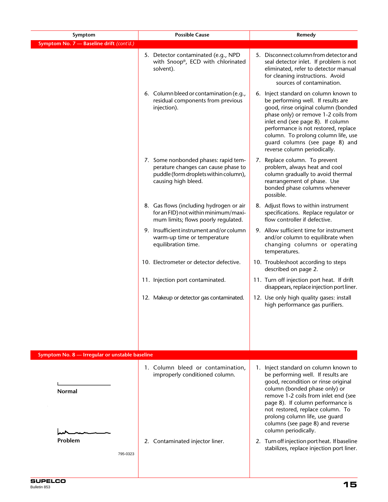| Symptom                                        | <b>Possible Cause</b>                                                                                                                       | Remedy                                                                                                                                                                                                                                                                                                                                                             |
|------------------------------------------------|---------------------------------------------------------------------------------------------------------------------------------------------|--------------------------------------------------------------------------------------------------------------------------------------------------------------------------------------------------------------------------------------------------------------------------------------------------------------------------------------------------------------------|
| Symptom No. 7 - Baseline drift (cont'd.)       |                                                                                                                                             |                                                                                                                                                                                                                                                                                                                                                                    |
|                                                | 5. Detector contaminated (e.g., NPD<br>with Snoop®, ECD with chlorinated<br>solvent).                                                       | 5. Disconnect column from detector and<br>seal detector inlet. If problem is not<br>eliminated, refer to detector manual<br>for cleaning instructions. Avoid<br>sources of contamination.                                                                                                                                                                          |
|                                                | 6. Column bleed or contamination (e.g.,<br>residual components from previous<br>injection).                                                 | 6. Inject standard on column known to<br>be performing well. If results are<br>good, rinse original column (bonded<br>phase only) or remove 1-2 coils from<br>inlet end (see page 8). If column<br>performance is not restored, replace<br>column. To prolong column life, use<br>guard columns (see page 8) and<br>reverse column periodically.                   |
|                                                | 7. Some nonbonded phases: rapid tem-<br>perature changes can cause phase to<br>puddle (form droplets within column),<br>causing high bleed. | 7. Replace column. To prevent<br>problem, always heat and cool<br>column gradually to avoid thermal<br>rearrangement of phase. Use<br>bonded phase columns whenever<br>possible.                                                                                                                                                                                   |
|                                                | 8. Gas flows (including hydrogen or air<br>for an FID) not within minimum/maxi-<br>mum limits; flows poorly regulated.                      | 8. Adjust flows to within instrument<br>specifications. Replace regulator or<br>flow controller if defective.                                                                                                                                                                                                                                                      |
|                                                | 9. Insufficient instrument and/or column<br>warm-up time or temperature<br>equilibration time.                                              | 9. Allow sufficient time for instrument<br>and/or column to equilibrate when<br>changing columns or operating<br>temperatures.                                                                                                                                                                                                                                     |
|                                                | 10. Electrometer or detector defective.                                                                                                     | 10. Troubleshoot according to steps<br>described on page 2.                                                                                                                                                                                                                                                                                                        |
|                                                | 11. Injection port contaminated.                                                                                                            | 11. Turn off injection port heat. If drift<br>disappears, replace injection port liner.                                                                                                                                                                                                                                                                            |
|                                                | 12. Makeup or detector gas contaminated.                                                                                                    | 12. Use only high quality gases: install<br>high performance gas purifiers.                                                                                                                                                                                                                                                                                        |
|                                                |                                                                                                                                             |                                                                                                                                                                                                                                                                                                                                                                    |
| Symptom No. 8 - Irregular or unstable baseline |                                                                                                                                             |                                                                                                                                                                                                                                                                                                                                                                    |
| <b>Normal</b>                                  | 1. Column bleed or contamination,<br>improperly conditioned column.                                                                         | 1. Inject standard on column known to<br>be performing well. If results are<br>good, recondition or rinse original<br>column (bonded phase only) or<br>remove 1-2 coils from inlet end (see<br>page 8). If column performance is<br>not restored, replace column. To<br>prolong column life, use guard<br>columns (see page 8) and reverse<br>column periodically. |
| Problem<br>795-0323                            | 2. Contaminated injector liner.                                                                                                             | 2. Turn off injection port heat. If baseline<br>stabilizes, replace injection port liner.                                                                                                                                                                                                                                                                          |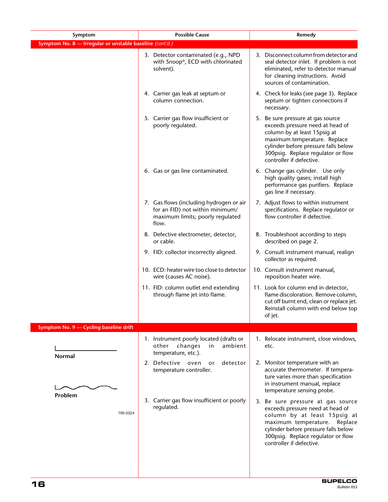| Symptom                                                  | <b>Possible Cause</b>                                                                                                   | Remedy                                                                                                                                                                                                                                           |
|----------------------------------------------------------|-------------------------------------------------------------------------------------------------------------------------|--------------------------------------------------------------------------------------------------------------------------------------------------------------------------------------------------------------------------------------------------|
| Symptom No. 8 - Irregular or unstable baseline (cont'd.) |                                                                                                                         |                                                                                                                                                                                                                                                  |
|                                                          | 3. Detector contaminated (e.g., NPD<br>with Snoop®, ECD with chlorinated<br>solvent).                                   | 3. Disconnect column from detector and<br>seal detector inlet. If problem is not<br>eliminated, refer to detector manual<br>for cleaning instructions. Avoid<br>sources of contamination.                                                        |
|                                                          | 4. Carrier gas leak at septum or<br>column connection.                                                                  | 4. Check for leaks (see page 3). Replace<br>septum or tighten connections if<br>necessary.                                                                                                                                                       |
|                                                          | 5. Carrier gas flow insufficient or<br>poorly regulated.                                                                | 5. Be sure pressure at gas source<br>exceeds pressure need at head of<br>column by at least 15 psig at<br>maximum temperature. Replace<br>cylinder before pressure falls below<br>300psig. Replace regulator or flow<br>controller if defective. |
|                                                          | 6. Gas or gas line contaminated.                                                                                        | 6. Change gas cylinder. Use only<br>high quality gases; install high<br>performance gas purifiers. Replace<br>gas line if necessary.                                                                                                             |
|                                                          | 7. Gas flows (including hydrogen or air<br>for an FID) not within minimum/<br>maximum limits; poorly regulated<br>flow. | 7. Adjust flows to within instrument<br>specifications. Replace regulator or<br>flow controller if defective.                                                                                                                                    |
|                                                          | 8. Defective electrometer, detector,<br>or cable.                                                                       | 8. Troubleshoot according to steps<br>described on page 2.                                                                                                                                                                                       |
|                                                          | 9. FID: collector incorrectly aligned.                                                                                  | 9. Consult instrument manual, realign<br>collector as required.                                                                                                                                                                                  |
|                                                          | 10. ECD: heater wire too close to detector<br>wire (causes AC noise).                                                   | 10. Consult instrument manual,<br>reposition heater wire.                                                                                                                                                                                        |
|                                                          | 11. FID: column outlet end extending<br>through flame jet into flame.                                                   | 11. Look for column end in detector,<br>flame discoloration. Remove column,<br>cut off burnt end, clean or replace jet.<br>Reinstall column with end below top<br>of jet.                                                                        |
| Symptom No. 9 - Cycling baseline drift                   |                                                                                                                         |                                                                                                                                                                                                                                                  |
| <b>Normal</b>                                            | 1. Instrument poorly located (drafts or<br>changes<br>other<br>ambient<br>in<br>temperature, etc.).                     | 1. Relocate instrument, close windows,<br>etc.                                                                                                                                                                                                   |
|                                                          | 2. Defective oven<br>detector<br>or<br>temperature controller.                                                          | 2. Monitor temperature with an<br>accurate thermometer. If tempera-<br>ture varies more than specification<br>in instrument manual, replace<br>temperature sensing probe.                                                                        |
| Problem<br>795-0324                                      | 3. Carrier gas flow insufficient or poorly<br>regulated.                                                                | 3. Be sure pressure at gas source<br>exceeds pressure need at head of<br>column by at least 15psig at<br>maximum temperature. Replace<br>cylinder before pressure falls below<br>300psig. Replace regulator or flow<br>controller if defective.  |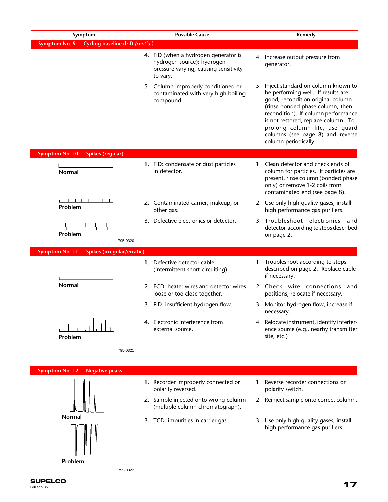| Symptom                                          | <b>Possible Cause</b>                                                                                                                                                                                                | Remedy                                                                                                                                                                                                                                                                                                                 |  |
|--------------------------------------------------|----------------------------------------------------------------------------------------------------------------------------------------------------------------------------------------------------------------------|------------------------------------------------------------------------------------------------------------------------------------------------------------------------------------------------------------------------------------------------------------------------------------------------------------------------|--|
| Symptom No. 9 - Cycling baseline drift (cont'd.) |                                                                                                                                                                                                                      |                                                                                                                                                                                                                                                                                                                        |  |
|                                                  | 4. FID (when a hydrogen generator is<br>hydrogen source): hydrogen<br>pressure varying, causing sensitivity<br>to vary.<br>Column improperly conditioned or<br>5<br>contaminated with very high boiling<br>compound. | 4. Increase output pressure from<br>generator.<br>5. Inject standard on column known to<br>be performing well. If results are<br>good, recondition original column<br>(rinse bonded phase column, then<br>recondition). If column performance<br>is not restored, replace column. To<br>prolong column life, use guard |  |
|                                                  |                                                                                                                                                                                                                      | columns (see page 8) and reverse<br>column periodically.                                                                                                                                                                                                                                                               |  |
| Symptom No. 10 - Spikes (regular)                |                                                                                                                                                                                                                      |                                                                                                                                                                                                                                                                                                                        |  |
| <b>Normal</b>                                    | 1. FID: condensate or dust particles<br>in detector.                                                                                                                                                                 | 1. Clean detector and check ends of<br>column for particles. If particles are<br>present, rinse column (bonded phase<br>only) or remove 1-2 coils from<br>contaminated end (see page 8).                                                                                                                               |  |
| Problem                                          | 2. Contaminated carrier, makeup, or<br>other gas.                                                                                                                                                                    | 2. Use only high quality gases; install<br>high performance gas purifiers.                                                                                                                                                                                                                                             |  |
| Problem<br>795-0320                              | 3. Defective electronics or detector.                                                                                                                                                                                | 3. Troubleshoot electronics and<br>detector according to steps described<br>on page 2.                                                                                                                                                                                                                                 |  |
| Symptom No. 11 - Spikes (irregular/erratic)      |                                                                                                                                                                                                                      |                                                                                                                                                                                                                                                                                                                        |  |
| <b>Normal</b>                                    | 1. Defective detector cable<br>(intermittent short-circuiting).<br>2. ECD: heater wires and detector wires                                                                                                           | 1. Troubleshoot according to steps<br>described on page 2. Replace cable<br>if necessary.<br>2. Check wire connections and                                                                                                                                                                                             |  |
|                                                  | loose or too close together.                                                                                                                                                                                         | positions, relocate if necessary.                                                                                                                                                                                                                                                                                      |  |
|                                                  | 3. FID: insufficient hydrogen flow.                                                                                                                                                                                  | 3. Monitor hydrogen flow, increase if<br>necessary.                                                                                                                                                                                                                                                                    |  |
| Problem<br>795-0321                              | 4. Electronic interference from<br>external source.                                                                                                                                                                  | 4. Relocate instrument, identify interfer-<br>ence source (e.g., nearby transmitter<br>site, etc.)                                                                                                                                                                                                                     |  |
|                                                  |                                                                                                                                                                                                                      |                                                                                                                                                                                                                                                                                                                        |  |
| Symptom No. 12 - Negative peaks                  | 1. Recorder improperly connected or<br>polarity reversed.                                                                                                                                                            | 1. Reverse recorder connections or<br>polarity switch.                                                                                                                                                                                                                                                                 |  |
|                                                  | 2. Sample injected onto wrong column<br>(multiple column chromatograph).                                                                                                                                             | 2. Reinject sample onto correct column.                                                                                                                                                                                                                                                                                |  |
| Normal<br>Problem                                | 3. TCD: impurities in carrier gas.                                                                                                                                                                                   | 3. Use only high quality gases; install<br>high performance gas purifiers.                                                                                                                                                                                                                                             |  |
| 795-0322                                         |                                                                                                                                                                                                                      |                                                                                                                                                                                                                                                                                                                        |  |
|                                                  |                                                                                                                                                                                                                      |                                                                                                                                                                                                                                                                                                                        |  |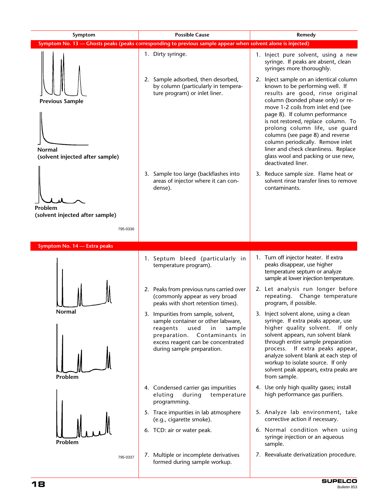| Symptom                                          | <b>Possible Cause</b>                                                                                                                                                                                                | Remedy                                                                                                                                                                                                                                                                                                                                                                   |  |  |
|--------------------------------------------------|----------------------------------------------------------------------------------------------------------------------------------------------------------------------------------------------------------------------|--------------------------------------------------------------------------------------------------------------------------------------------------------------------------------------------------------------------------------------------------------------------------------------------------------------------------------------------------------------------------|--|--|
|                                                  | Symptom No. 13 - Ghosts peaks (peaks corresponding to previous sample appear when solvent alone is injected)                                                                                                         |                                                                                                                                                                                                                                                                                                                                                                          |  |  |
|                                                  | 1. Dirty syringe.                                                                                                                                                                                                    | 1. Inject pure solvent, using a new<br>syringe. If peaks are absent, clean<br>syringes more thoroughly.                                                                                                                                                                                                                                                                  |  |  |
| <b>Previous Sample</b>                           | 2. Sample adsorbed, then desorbed,<br>by column (particularly in tempera-<br>ture program) or inlet liner.                                                                                                           | 2. Inject sample on an identical column<br>known to be performing well. If<br>results are good, rinse original<br>column (bonded phase only) or re-<br>move 1-2 coils from inlet end (see                                                                                                                                                                                |  |  |
| <b>Normal</b><br>(solvent injected after sample) |                                                                                                                                                                                                                      | page 8). If column performance<br>is not restored, replace column. To<br>prolong column life, use guard<br>columns (see page 8) and reverse<br>column periodically. Remove inlet<br>liner and check cleanliness. Replace<br>glass wool and packing or use new,<br>deactivated liner.                                                                                     |  |  |
| Problem<br>(solvent injected after sample)       | 3. Sample too large (backflashes into<br>areas of injector where it can con-<br>dense).                                                                                                                              | 3. Reduce sample size. Flame heat or<br>solvent rinse transfer lines to remove<br>contaminants.                                                                                                                                                                                                                                                                          |  |  |
| 795-0336                                         |                                                                                                                                                                                                                      |                                                                                                                                                                                                                                                                                                                                                                          |  |  |
| Symptom No. 14 - Extra peaks                     |                                                                                                                                                                                                                      |                                                                                                                                                                                                                                                                                                                                                                          |  |  |
|                                                  | 1. Septum bleed (particularly in<br>temperature program).                                                                                                                                                            | 1. Turn off injector heater. If extra<br>peaks disappear, use higher<br>temperature septum or analyze<br>sample at lower injection temperature.                                                                                                                                                                                                                          |  |  |
|                                                  | 2. Peaks from previous runs carried over<br>(commonly appear as very broad<br>peaks with short retention times).                                                                                                     | 2. Let analysis run longer before<br>repeating. Change temperature<br>program, if possible.                                                                                                                                                                                                                                                                              |  |  |
| Normal<br>Problem                                | 3. Impurities from sample, solvent,<br>sample container or other labware,<br>reagents<br>used<br>in<br>sample<br>Contaminants in<br>preparation.<br>excess reagent can be concentrated<br>during sample preparation. | 3. Inject solvent alone, using a clean<br>syringe. If extra peaks appear, use<br>higher quality solvent.<br>If only<br>solvent appears, run solvent blank<br>through entire sample preparation<br>process. If extra peaks appear,<br>analyze solvent blank at each step of<br>workup to isolate source. If only<br>solvent peak appears, extra peaks are<br>from sample. |  |  |
|                                                  | 4. Condensed carrier gas impurities<br>eluting<br>during<br>temperature<br>programming.                                                                                                                              | 4. Use only high quality gases; install<br>high performance gas purifiers.                                                                                                                                                                                                                                                                                               |  |  |
|                                                  | 5. Trace impurities in lab atmosphere<br>(e.g., cigarette smoke).                                                                                                                                                    | 5. Analyze lab environment, take<br>corrective action if necessary.                                                                                                                                                                                                                                                                                                      |  |  |
| Problem                                          | 6. TCD: air or water peak.                                                                                                                                                                                           | 6. Normal condition when using<br>syringe injection or an aqueous<br>sample.                                                                                                                                                                                                                                                                                             |  |  |
| 795-0337                                         | 7. Multiple or incomplete derivatives<br>formed during sample workup.                                                                                                                                                | 7. Reevaluate derivatization procedure.                                                                                                                                                                                                                                                                                                                                  |  |  |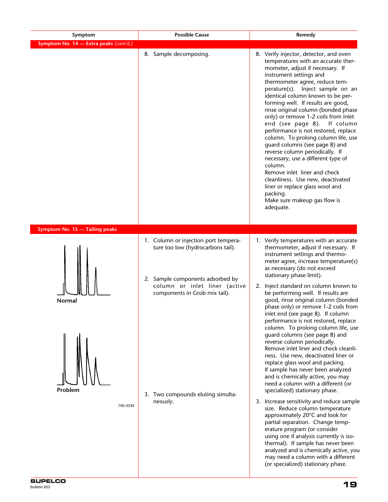| Symptom                                | <b>Possible Cause</b>                                                                                                                                                                                                            | Remedy                                                                                                                                                                                                                                                                                                                                                                                                                                                                                                                                                                                                                                                                                                                                                                                                                                                                                                                                                                                                                                                                                                                                                                                                                                       |  |
|----------------------------------------|----------------------------------------------------------------------------------------------------------------------------------------------------------------------------------------------------------------------------------|----------------------------------------------------------------------------------------------------------------------------------------------------------------------------------------------------------------------------------------------------------------------------------------------------------------------------------------------------------------------------------------------------------------------------------------------------------------------------------------------------------------------------------------------------------------------------------------------------------------------------------------------------------------------------------------------------------------------------------------------------------------------------------------------------------------------------------------------------------------------------------------------------------------------------------------------------------------------------------------------------------------------------------------------------------------------------------------------------------------------------------------------------------------------------------------------------------------------------------------------|--|
| Symptom No. 14 - Extra peaks (cont'd.) |                                                                                                                                                                                                                                  |                                                                                                                                                                                                                                                                                                                                                                                                                                                                                                                                                                                                                                                                                                                                                                                                                                                                                                                                                                                                                                                                                                                                                                                                                                              |  |
|                                        | 8. Sample decomposing.                                                                                                                                                                                                           | 8. Verify injector, detector, and oven<br>temperatures with an accurate ther-<br>mometer, adjust if necessary. If<br>instrument settings and<br>thermometer agree, reduce tem-<br>perature(s). Inject sample on an<br>identical column known to be per-<br>forming well. If results are good,<br>rinse original column (bonded phase<br>only) or remove 1-2 coils from inlet<br>end (see page 8). If column<br>performance is not restored, replace<br>column. To prolong column life, use<br>guard columns (see page 8) and<br>reverse column periodically. If<br>necessary, use a different type of<br>column.<br>Remove inlet liner and check<br>cleanliness. Use new, deactivated<br>liner or replace glass wool and<br>packing.<br>Make sure makeup gas flow is<br>adequate.                                                                                                                                                                                                                                                                                                                                                                                                                                                            |  |
| Symptom No. 15 - Tailing peaks         |                                                                                                                                                                                                                                  |                                                                                                                                                                                                                                                                                                                                                                                                                                                                                                                                                                                                                                                                                                                                                                                                                                                                                                                                                                                                                                                                                                                                                                                                                                              |  |
| Normal<br>Problem<br>795-0339          | 1. Column or injection port tempera-<br>ture too low (hydrocarbons tail).<br>2. Sample components adsorbed by<br>column or inlet liner (active<br>components in Grob mix tail).<br>3. Two compounds eluting simulta-<br>neously. | 1. Verify temperatures with an accurate<br>thermometer, adjust if necessary. If<br>instrument settings and thermo-<br>meter agree, increase temperature(s)<br>as necessary (do not exceed<br>stationary phase limit).<br>2. Inject standard on column known to<br>be performing well. If results are<br>good, rinse original column (bonded<br>phase only) or remove 1-2 coils from<br>inlet end (see page 8). If column<br>performance is not restored, replace<br>column. To prolong column life, use<br>guard columns (see page 8) and<br>reverse column periodically.<br>Remove inlet liner and check cleanli-<br>ness. Use new, deactivated liner or<br>replace glass wool and packing.<br>If sample has never been analyzed<br>and is chemically active, you may<br>need a column with a different (or<br>specialized) stationary phase.<br>3. Increase sensitivity and reduce sample<br>size. Reduce column temperature<br>approximately 20°C and look for<br>partial separation. Change temp-<br>erature program (or consider<br>using one if analysis currently is iso-<br>thermal). If sample has never been<br>analyzed and is chemically active, you<br>may need a column with a different<br>(or specialized) stationary phase. |  |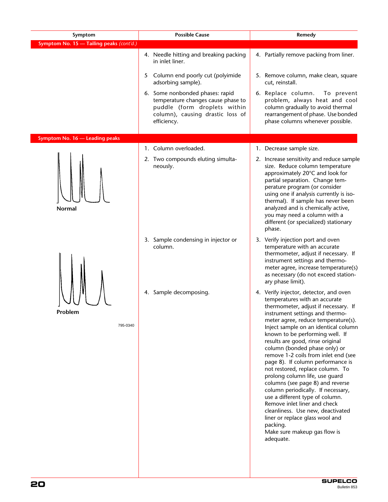| Symptom                                  | <b>Possible Cause</b>                                                                                                                                    | Remedy                                                                                                                                                                                                                                                                                                                                                                                                                                                                                                                                                                                                                                                                                                                                                                     |  |
|------------------------------------------|----------------------------------------------------------------------------------------------------------------------------------------------------------|----------------------------------------------------------------------------------------------------------------------------------------------------------------------------------------------------------------------------------------------------------------------------------------------------------------------------------------------------------------------------------------------------------------------------------------------------------------------------------------------------------------------------------------------------------------------------------------------------------------------------------------------------------------------------------------------------------------------------------------------------------------------------|--|
| Symptom No. 15 - Tailing peaks (cont'd.) |                                                                                                                                                          |                                                                                                                                                                                                                                                                                                                                                                                                                                                                                                                                                                                                                                                                                                                                                                            |  |
|                                          | 4. Needle hitting and breaking packing<br>in inlet liner.                                                                                                | 4. Partially remove packing from liner.                                                                                                                                                                                                                                                                                                                                                                                                                                                                                                                                                                                                                                                                                                                                    |  |
|                                          | Column end poorly cut (polyimide<br>5<br>adsorbing sample).                                                                                              | 5. Remove column, make clean, square<br>cut, reinstall.                                                                                                                                                                                                                                                                                                                                                                                                                                                                                                                                                                                                                                                                                                                    |  |
|                                          | 6. Some nonbonded phases: rapid<br>temperature changes cause phase to<br>puddle (form droplets within<br>column), causing drastic loss of<br>efficiency. | 6. Replace column.<br>To prevent<br>problem, always heat and cool<br>column gradually to avoid thermal<br>rearrangement of phase. Use bonded<br>phase columns whenever possible.                                                                                                                                                                                                                                                                                                                                                                                                                                                                                                                                                                                           |  |
| Symptom No. 16 - Leading peaks           |                                                                                                                                                          |                                                                                                                                                                                                                                                                                                                                                                                                                                                                                                                                                                                                                                                                                                                                                                            |  |
|                                          | 1. Column overloaded.                                                                                                                                    | 1. Decrease sample size.                                                                                                                                                                                                                                                                                                                                                                                                                                                                                                                                                                                                                                                                                                                                                   |  |
| <b>Normal</b>                            | 2. Two compounds eluting simulta-<br>neously.                                                                                                            | 2. Increase sensitivity and reduce sample<br>size. Reduce column temperature<br>approximately 20°C and look for<br>partial separation. Change tem-<br>perature program (or consider<br>using one if analysis currently is iso-<br>thermal). If sample has never been<br>analyzed and is chemically active,<br>you may need a column with a<br>different (or specialized) stationary<br>phase.                                                                                                                                                                                                                                                                                                                                                                              |  |
|                                          | 3. Sample condensing in injector or<br>column.                                                                                                           | 3. Verify injection port and oven<br>temperature with an accurate<br>thermometer, adjust if necessary. If<br>instrument settings and thermo-<br>meter agree, increase temperature(s)<br>as necessary (do not exceed station-<br>ary phase limit).                                                                                                                                                                                                                                                                                                                                                                                                                                                                                                                          |  |
| Problem<br>795-0340                      | 4. Sample decomposing.                                                                                                                                   | 4. Verify injector, detector, and oven<br>temperatures with an accurate<br>thermometer, adjust if necessary. If<br>instrument settings and thermo-<br>meter agree, reduce temperature(s).<br>Inject sample on an identical column<br>known to be performing well. If<br>results are good, rinse original<br>column (bonded phase only) or<br>remove 1-2 coils from inlet end (see<br>page 8). If column performance is<br>not restored, replace column. To<br>prolong column life, use guard<br>columns (see page 8) and reverse<br>column periodically. If necessary,<br>use a different type of column.<br>Remove inlet liner and check<br>cleanliness. Use new, deactivated<br>liner or replace glass wool and<br>packing.<br>Make sure makeup gas flow is<br>adequate. |  |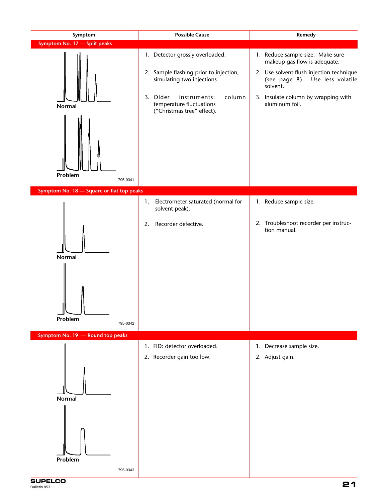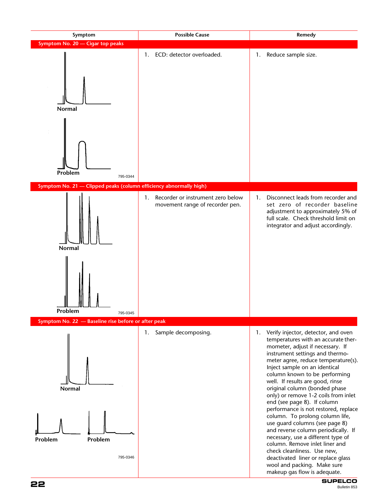

**SUPELCO 22** Bulletin 853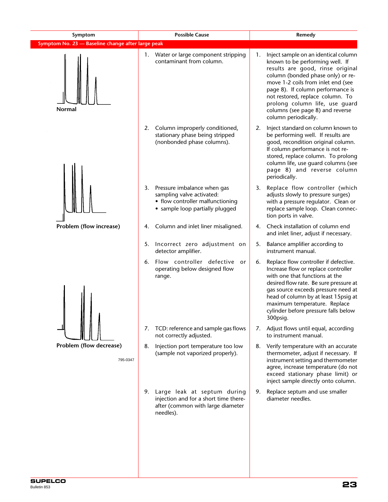| Symptom                                           | <b>Possible Cause</b>                                                                                                                 | Remedy                                                                                                                                                                                                                                                                                                                                                              |  |
|---------------------------------------------------|---------------------------------------------------------------------------------------------------------------------------------------|---------------------------------------------------------------------------------------------------------------------------------------------------------------------------------------------------------------------------------------------------------------------------------------------------------------------------------------------------------------------|--|
| Symptom No. 23 - Baseline change after large peak |                                                                                                                                       |                                                                                                                                                                                                                                                                                                                                                                     |  |
| Normal                                            | 1. Water or large component stripping<br>contaminant from column.                                                                     | Inject sample on an identical column<br>1.<br>known to be performing well. If<br>results are good, rinse original<br>column (bonded phase only) or re-<br>move 1-2 coils from inlet end (see<br>page 8). If column performance is<br>not restored, replace column. To<br>prolong column life, use guard<br>columns (see page 8) and reverse<br>column periodically. |  |
|                                                   | Column improperly conditioned,<br>2.<br>stationary phase being stripped<br>(nonbonded phase columns).                                 | Inject standard on column known to<br>2.<br>be performing well. If results are<br>good, recondition original column.<br>If column performance is not re-<br>stored, replace column. To prolong<br>column life, use guard columns (see<br>page 8) and reverse column<br>periodically.                                                                                |  |
|                                                   | 3.<br>Pressure imbalance when gas<br>sampling valve activated:<br>• flow controller malfunctioning<br>• sample loop partially plugged | Replace flow controller (which<br>3.<br>adjusts slowly to pressure surges)<br>with a pressure regulator. Clean or<br>replace sample loop. Clean connec-<br>tion ports in valve.                                                                                                                                                                                     |  |
| Problem (flow increase)                           | Column and inlet liner misaligned.<br>4.                                                                                              | Check installation of column end<br>4.<br>and inlet liner, adjust if necessary.                                                                                                                                                                                                                                                                                     |  |
|                                                   | Incorrect zero adjustment on<br>5.<br>detector amplifier.                                                                             | Balance amplifier according to<br>5.<br>instrument manual.                                                                                                                                                                                                                                                                                                          |  |
|                                                   | Flow controller defective<br>6.<br>or<br>operating below designed flow<br>range.                                                      | Replace flow controller if defective.<br>6.<br>Increase flow or replace controller<br>with one that functions at the<br>desired flow rate. Be sure pressure at<br>gas source exceeds pressure need at<br>head of column by at least 15psig at<br>maximum temperature. Replace<br>cylinder before pressure falls below<br>300psig.                                   |  |
|                                                   | TCD: reference and sample gas flows<br>7.<br>not correctly adjusted.                                                                  | Adjust flows until equal, according<br>7.<br>to instrument manual.                                                                                                                                                                                                                                                                                                  |  |
| Problem (flow decrease)<br>795-0347               | 8.<br>Injection port temperature too low<br>(sample not vaporized properly).                                                          | Verify temperature with an accurate<br>8.<br>thermometer, adjust if necessary. If<br>instrument setting and thermometer<br>agree, increase temperature (do not<br>exceed stationary phase limit) or<br>inject sample directly onto column.                                                                                                                          |  |
|                                                   | Large leak at septum during<br>9.<br>injection and for a short time there-<br>after (common with large diameter<br>needles).          | Replace septum and use smaller<br>9.<br>diameter needles.                                                                                                                                                                                                                                                                                                           |  |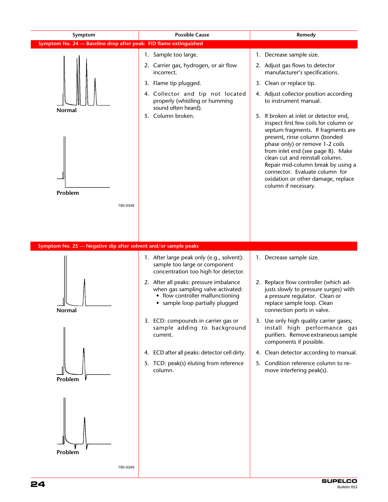| Symptom                                                           | <b>Possible Cause</b>                                                                                                                               | Remedy                                                                                                                                                                                                                                                                                                                                                                                                  |
|-------------------------------------------------------------------|-----------------------------------------------------------------------------------------------------------------------------------------------------|---------------------------------------------------------------------------------------------------------------------------------------------------------------------------------------------------------------------------------------------------------------------------------------------------------------------------------------------------------------------------------------------------------|
| Symptom No. 24 - Baseline drop after peak: FID flame extinguished |                                                                                                                                                     |                                                                                                                                                                                                                                                                                                                                                                                                         |
|                                                                   | 1. Sample too large.                                                                                                                                | 1. Decrease sample size.                                                                                                                                                                                                                                                                                                                                                                                |
|                                                                   | 2. Carrier gas, hydrogen, or air flow<br>incorrect.                                                                                                 | 2. Adjust gas flows to detector<br>manufacturer's specifications.                                                                                                                                                                                                                                                                                                                                       |
|                                                                   | 3. Flame tip plugged.                                                                                                                               | 3. Clean or replace tip.                                                                                                                                                                                                                                                                                                                                                                                |
| <b>Normal</b>                                                     | 4. Collector and tip not located<br>properly (whistling or humming<br>sound often heard).                                                           | 4. Adjust collector position according<br>to instrument manual.                                                                                                                                                                                                                                                                                                                                         |
| Problem<br>795-0348                                               | 5. Column broken.                                                                                                                                   | 5. If broken at inlet or detector end,<br>inspect first few coils for column or<br>septum fragments. If fragments are<br>present, rinse column (bonded<br>phase only) or remove 1-2 coils<br>from inlet end (see page 8). Make<br>clean cut and reinstall column.<br>Repair mid-column break by using a<br>connector. Evaluate column for<br>oxidation or other damage, replace<br>column if necessary. |
|                                                                   |                                                                                                                                                     |                                                                                                                                                                                                                                                                                                                                                                                                         |
| Symptom No. 25 - Negative dip after solvent and/or sample peaks   |                                                                                                                                                     |                                                                                                                                                                                                                                                                                                                                                                                                         |
|                                                                   | 1. After large peak only (e.g., solvent):<br>sample too large or component<br>concentration too high for detector.                                  | 1. Decrease sample size.                                                                                                                                                                                                                                                                                                                                                                                |
| Normal                                                            | 2. After all peaks: pressure imbalance<br>when gas sampling valve activated:<br>• flow controller malfunctioning<br>• sample loop partially plugged | Replace flow controller (which ad-<br>2.<br>justs slowly to pressure surges) with<br>a pressure regulator. Clean or<br>replace sample loop. Clean<br>connection ports in valve.                                                                                                                                                                                                                         |
|                                                                   | 3. ECD: compounds in carrier gas or<br>sample adding to background<br>current.                                                                      | 3. Use only high quality carrier gases;<br>install high performance gas<br>purifiers. Remove extraneous sample<br>components if possible.                                                                                                                                                                                                                                                               |
|                                                                   | 4. ECD after all peaks: detector cell dirty.                                                                                                        | 4. Clean detector according to manual.                                                                                                                                                                                                                                                                                                                                                                  |
| Problem                                                           | 5. TCD: peak(s) eluting from reference<br>column.                                                                                                   | 5. Condition reference column to re-<br>move interfering peak(s).                                                                                                                                                                                                                                                                                                                                       |
| Problem<br>795-0349                                               |                                                                                                                                                     |                                                                                                                                                                                                                                                                                                                                                                                                         |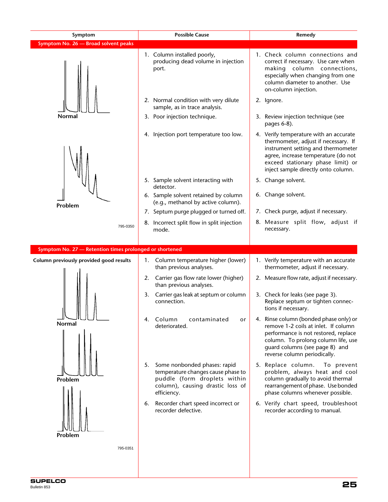| Symptom                                                 | <b>Possible Cause</b>                                                                                                                                       | Remedy                                                                                                                                                                                                                                  |  |
|---------------------------------------------------------|-------------------------------------------------------------------------------------------------------------------------------------------------------------|-----------------------------------------------------------------------------------------------------------------------------------------------------------------------------------------------------------------------------------------|--|
| Symptom No. 26 - Broad solvent peaks                    |                                                                                                                                                             |                                                                                                                                                                                                                                         |  |
|                                                         | 1. Column installed poorly,<br>producing dead volume in injection<br>port.                                                                                  | 1. Check column connections and<br>correct if necessary. Use care when<br>making column connections,<br>especially when changing from one<br>column diameter to another. Use<br>on-column injection.                                    |  |
|                                                         | 2. Normal condition with very dilute<br>sample, as in trace analysis.                                                                                       | 2. Ignore.                                                                                                                                                                                                                              |  |
| Normal                                                  | 3. Poor injection technique.                                                                                                                                | 3. Review injection technique (see<br>pages 6-8).                                                                                                                                                                                       |  |
|                                                         | 4. Injection port temperature too low.                                                                                                                      | 4. Verify temperature with an accurate<br>thermometer, adjust if necessary. If<br>instrument setting and thermometer<br>agree, increase temperature (do not<br>exceed stationary phase limit) or<br>inject sample directly onto column. |  |
|                                                         | 5. Sample solvent interacting with<br>detector.                                                                                                             | 5. Change solvent.                                                                                                                                                                                                                      |  |
| Problem                                                 | 6. Sample solvent retained by column<br>(e.g., methanol by active column).                                                                                  | 6. Change solvent.                                                                                                                                                                                                                      |  |
|                                                         | 7. Septum purge plugged or turned off.                                                                                                                      | 7. Check purge, adjust if necessary.                                                                                                                                                                                                    |  |
| 795-0350                                                | 8. Incorrect split flow in split injection<br>mode.                                                                                                         | 8. Measure split flow, adjust if<br>necessary.                                                                                                                                                                                          |  |
| Symptom No. 27 - Retention times prolonged or shortened |                                                                                                                                                             |                                                                                                                                                                                                                                         |  |
| Column previously provided good results                 | Column temperature higher (lower)<br>1.                                                                                                                     | 1. Verify temperature with an accurate                                                                                                                                                                                                  |  |
|                                                         | than previous analyses.                                                                                                                                     | thermometer, adjust if necessary.                                                                                                                                                                                                       |  |
|                                                         | Carrier gas flow rate lower (higher)<br>2.<br>than previous analyses.                                                                                       | 2. Measure flow rate, adjust if necessary.                                                                                                                                                                                              |  |
|                                                         | Carrier gas leak at septum or column<br>3.<br>connection.                                                                                                   | 3. Check for leaks (see page 3).<br>Replace septum or tighten connec-<br>tions if necessary.                                                                                                                                            |  |
| <b>Normal</b>                                           | Column<br>contaminated<br>4.<br>or<br>deteriorated.                                                                                                         | 4. Rinse column (bonded phase only) or<br>remove 1-2 coils at inlet. If column<br>performance is not restored, replace<br>column. To prolong column life, use<br>quard columns (see page 8) and<br>reverse column periodically.         |  |
| Problem                                                 | Some nonbonded phases: rapid<br>5.<br>temperature changes cause phase to<br>puddle (form droplets within<br>column), causing drastic loss of<br>efficiency. | 5. Replace column.<br>To prevent<br>problem, always heat and cool<br>column gradually to avoid thermal<br>rearrangement of phase. Use bonded<br>phase columns whenever possible.                                                        |  |
| Problem                                                 | Recorder chart speed incorrect or<br>6.<br>recorder defective.                                                                                              | 6. Verify chart speed, troubleshoot<br>recorder according to manual.                                                                                                                                                                    |  |
| 795-0351                                                |                                                                                                                                                             |                                                                                                                                                                                                                                         |  |

**25 SUPELCO** Bulletin 853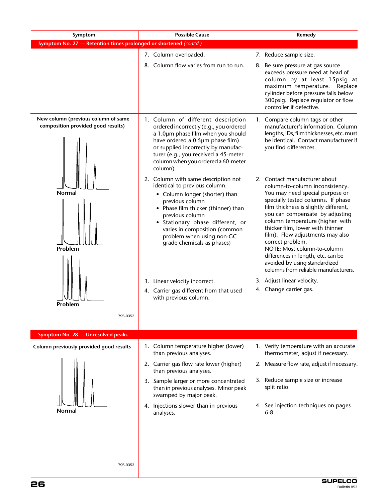| Symptom                                                                   | <b>Possible Cause</b>                                                                                                                                                                                                                                                                                                                                                                                                    | Remedy                                                                                                                                                                                                                                                                                                                                                                                                                                                                                                                                                     |  |
|---------------------------------------------------------------------------|--------------------------------------------------------------------------------------------------------------------------------------------------------------------------------------------------------------------------------------------------------------------------------------------------------------------------------------------------------------------------------------------------------------------------|------------------------------------------------------------------------------------------------------------------------------------------------------------------------------------------------------------------------------------------------------------------------------------------------------------------------------------------------------------------------------------------------------------------------------------------------------------------------------------------------------------------------------------------------------------|--|
| Symptom No. 27 - Retention times prolonged or shortened (cont'd.)         |                                                                                                                                                                                                                                                                                                                                                                                                                          |                                                                                                                                                                                                                                                                                                                                                                                                                                                                                                                                                            |  |
|                                                                           | 7. Column overloaded.                                                                                                                                                                                                                                                                                                                                                                                                    | 7. Reduce sample size.                                                                                                                                                                                                                                                                                                                                                                                                                                                                                                                                     |  |
|                                                                           | 8. Column flow varies from run to run.                                                                                                                                                                                                                                                                                                                                                                                   | 8. Be sure pressure at gas source<br>exceeds pressure need at head of<br>column by at least 15psig at<br>maximum temperature. Replace<br>cylinder before pressure falls below<br>300psig. Replace regulator or flow<br>controller if defective.                                                                                                                                                                                                                                                                                                            |  |
| New column (previous column of same<br>composition provided good results) | 1. Column of different description<br>ordered incorrectly (e.g., you ordered<br>a 1.0um phase film when you should<br>have ordered a 0.5µm phase film)<br>or supplied incorrectly by manufac-<br>turer (e.g., you received a 45-meter<br>column when you ordered a 60-meter<br>column).                                                                                                                                  | 1. Compare column tags or other<br>manufacturer's information. Column<br>lengths, IDs, film thicknesses, etc. must<br>be identical. Contact manufacturer if<br>you find differences.                                                                                                                                                                                                                                                                                                                                                                       |  |
| <b>Normal</b><br>Problem<br>Problem<br>795-0352                           | 2. Column with same description not<br>identical to previous column:<br>• Column longer (shorter) than<br>previous column<br>• Phase film thicker (thinner) than<br>previous column<br>· Stationary phase different, or<br>varies in composition (common<br>problem when using non-GC<br>grade chemicals as phases)<br>3. Linear velocity incorrect.<br>4. Carrier gas different from that used<br>with previous column. | 2. Contact manufacturer about<br>column-to-column inconsistency.<br>You may need special purpose or<br>specially tested columns. If phase<br>film thickness is slightly different,<br>you can compensate by adjusting<br>column temperature (higher with<br>thicker film, lower with thinner<br>film). Flow adjustments may also<br>correct problem.<br>NOTE: Most column-to-column<br>differences in length, etc. can be<br>avoided by using standardized<br>columns from reliable manufacturers.<br>3. Adjust linear velocity.<br>4. Change carrier gas. |  |
| Symptom No. 28 - Unresolved peaks                                         |                                                                                                                                                                                                                                                                                                                                                                                                                          |                                                                                                                                                                                                                                                                                                                                                                                                                                                                                                                                                            |  |
| Column previously provided good results                                   | 1. Column temperature higher (lower)<br>than previous analyses.                                                                                                                                                                                                                                                                                                                                                          | 1. Verify temperature with an accurate<br>thermometer, adjust if necessary.                                                                                                                                                                                                                                                                                                                                                                                                                                                                                |  |
|                                                                           | 2. Carrier gas flow rate lower (higher)<br>than previous analyses.                                                                                                                                                                                                                                                                                                                                                       | 2. Measure flow rate, adjust if necessary.                                                                                                                                                                                                                                                                                                                                                                                                                                                                                                                 |  |
|                                                                           | 3. Sample larger or more concentrated<br>than in previous analyses. Minor peak<br>swamped by major peak.                                                                                                                                                                                                                                                                                                                 | 3. Reduce sample size or increase<br>split ratio.                                                                                                                                                                                                                                                                                                                                                                                                                                                                                                          |  |
| Normal                                                                    | 4. Injections slower than in previous<br>analyses.                                                                                                                                                                                                                                                                                                                                                                       | 4. See injection techniques on pages<br>$6 - 8.$                                                                                                                                                                                                                                                                                                                                                                                                                                                                                                           |  |
| 795-0353                                                                  |                                                                                                                                                                                                                                                                                                                                                                                                                          |                                                                                                                                                                                                                                                                                                                                                                                                                                                                                                                                                            |  |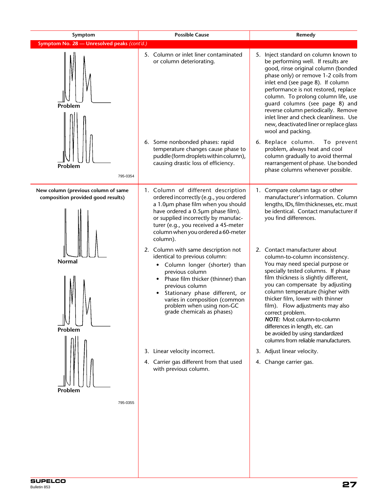| Symptom                                                                   | <b>Possible Cause</b><br>Remedy                                                                                                                                                                                                                                                                                         |                                                                                                                                                                                                                                                                                                                                                                                                                                                                                                    |  |
|---------------------------------------------------------------------------|-------------------------------------------------------------------------------------------------------------------------------------------------------------------------------------------------------------------------------------------------------------------------------------------------------------------------|----------------------------------------------------------------------------------------------------------------------------------------------------------------------------------------------------------------------------------------------------------------------------------------------------------------------------------------------------------------------------------------------------------------------------------------------------------------------------------------------------|--|
| Symptom No. 28 - Unresolved peaks (cont'd.)                               |                                                                                                                                                                                                                                                                                                                         |                                                                                                                                                                                                                                                                                                                                                                                                                                                                                                    |  |
| Problem                                                                   | 5. Column or inlet liner contaminated<br>or column deteriorating.                                                                                                                                                                                                                                                       | 5. Inject standard on column known to<br>be performing well. If results are<br>good, rinse original column (bonded<br>phase only) or remove 1-2 coils from<br>inlet end (see page 8). If column<br>performance is not restored, replace<br>column. To prolong column life, use<br>guard columns (see page 8) and<br>reverse column periodically. Remove<br>inlet liner and check cleanliness. Use<br>new, deactivated liner or replace glass<br>wool and packing.                                  |  |
| Problem<br>795-0354                                                       | 6. Some nonbonded phases: rapid<br>temperature changes cause phase to<br>puddle (form droplets within column),<br>causing drastic loss of efficiency.                                                                                                                                                                   | 6. Replace column.<br>To prevent<br>problem, always heat and cool<br>column gradually to avoid thermal<br>rearrangement of phase. Use bonded<br>phase columns whenever possible.                                                                                                                                                                                                                                                                                                                   |  |
| New column (previous column of same<br>composition provided good results) | 1. Column of different description<br>ordered incorrectly (e.g., you ordered<br>a 1.0um phase film when you should<br>have ordered a 0.5µm phase film).<br>or supplied incorrectly by manufac-<br>turer (e.g., you received a 45-meter<br>column when you ordered a 60-meter<br>column).                                | 1. Compare column tags or other<br>manufacturer's information. Column<br>lengths, IDs, film thicknesses, etc. must<br>be identical. Contact manufacturer if<br>you find differences.                                                                                                                                                                                                                                                                                                               |  |
| Normal<br>Problem                                                         | 2. Column with same description not<br>identical to previous column:<br>Column longer (shorter) than<br>٠<br>previous column<br>Phase film thicker (thinner) than<br>٠<br>previous column<br>Stationary phase different, or<br>varies in composition (common<br>problem when using non-GC<br>grade chemicals as phases) | 2. Contact manufacturer about<br>column-to-column inconsistency.<br>You may need special purpose or<br>specially tested columns. If phase<br>film thickness is slightly different,<br>you can compensate by adjusting<br>column temperature (higher with<br>thicker film, lower with thinner<br>film). Flow adjustments may also<br>correct problem.<br>NOTE: Most column-to-column<br>differences in length, etc. can<br>be avoided by using standardized<br>columns from reliable manufacturers. |  |
| Problem                                                                   | 3. Linear velocity incorrect.<br>4. Carrier gas different from that used<br>with previous column.                                                                                                                                                                                                                       | 3. Adjust linear velocity.<br>4. Change carrier gas.                                                                                                                                                                                                                                                                                                                                                                                                                                               |  |
| 795-0355                                                                  |                                                                                                                                                                                                                                                                                                                         |                                                                                                                                                                                                                                                                                                                                                                                                                                                                                                    |  |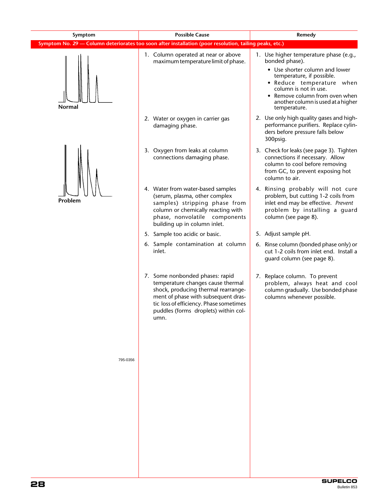| Symptom No. 29 - Column deteriorates too soon after installation (poor resolution, tailing peaks, etc.)                                                                                                                                       |                                                                                                                                                                                                                                                                       |  |  |
|-----------------------------------------------------------------------------------------------------------------------------------------------------------------------------------------------------------------------------------------------|-----------------------------------------------------------------------------------------------------------------------------------------------------------------------------------------------------------------------------------------------------------------------|--|--|
| 1. Column operated at near or above<br>maximum temperature limit of phase.                                                                                                                                                                    | 1. Use higher temperature phase (e.g.,<br>bonded phase).<br>• Use shorter column and lower<br>temperature, if possible.<br>· Reduce temperature when<br>column is not in use.<br>• Remove column from oven when<br>another column is used at a higher<br>temperature. |  |  |
| 2. Water or oxygen in carrier gas<br>damaging phase.                                                                                                                                                                                          | 2. Use only high quality gases and high-<br>performance purifiers. Replace cylin-<br>ders before pressure falls below<br>300psig.                                                                                                                                     |  |  |
| 3. Oxygen from leaks at column<br>connections damaging phase.                                                                                                                                                                                 | 3. Check for leaks (see page 3). Tighten<br>connections if necessary. Allow<br>column to cool before removing<br>from GC, to prevent exposing hot<br>column to air.                                                                                                   |  |  |
| 4. Water from water-based samples<br>(serum, plasma, other complex<br>samples) stripping phase from<br>column or chemically reacting with<br>phase, nonvolatile components<br>building up in column inlet.                                    | 4. Rinsing probably will not cure<br>problem, but cutting 1-2 coils from<br>inlet end may be effective. Prevent<br>problem by installing a quard<br>column (see page 8).                                                                                              |  |  |
| 5. Sample too acidic or basic.                                                                                                                                                                                                                | 5. Adjust sample pH.                                                                                                                                                                                                                                                  |  |  |
| 6. Sample contamination at column<br>inlet.                                                                                                                                                                                                   | 6. Rinse column (bonded phase only) or<br>cut 1-2 coils from inlet end. Install a<br>guard column (see page 8).                                                                                                                                                       |  |  |
| 7. Some nonbonded phases: rapid<br>temperature changes cause thermal<br>shock, producing thermal rearrange-<br>ment of phase with subsequent dras-<br>tic loss of efficiency. Phase sometimes<br>puddles (forms droplets) within col-<br>umn. | 7. Replace column. To prevent<br>problem, always heat and cool<br>column gradually. Use bonded phase<br>columns whenever possible.                                                                                                                                    |  |  |
|                                                                                                                                                                                                                                               |                                                                                                                                                                                                                                                                       |  |  |
|                                                                                                                                                                                                                                               |                                                                                                                                                                                                                                                                       |  |  |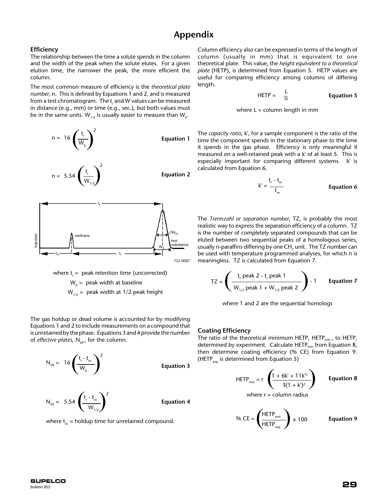# **Appendix**

#### **Efficiency**

The relationship between the time a solute spends in the column and the width of the peak when the solute elutes. For a given elution time, the narrower the peak, the more efficient the column.

The most common measure of efficiency is the *theoretical plate number*, n. This is defined by Equations 1 and 2, and is measured from a test chromatogram. The t<sub>r</sub> and W values can be measured in distance (e.g., mm) or time (e.g., sec.), but both values must be in the same units.  $\mathsf{W}_{_{1/2}}$  is usually easier to measure than  $\mathsf{W}_{_{\mathsf{b}}}$ .



where 
$$
t_r
$$
 = peak retention time (uncorrected)  
 $W_b$  = peak width at baseline

$$
W_{1/2}
$$
 = peak width at 1/2 peak height

The gas holdup or dead volume is accounted for by modifying Equations 1 and 2 to include measurements on a compound that is unretained by the phase. Equations 3 and 4 provide the number of *effective plates*, N<sub>eff</sub>, for the column.

$$
N_{\text{eff}} = 16 \left( \frac{t_r - t_m}{W_b} \right)^2
$$

**Equation 3**

$$
N_{\text{eff}} = 5.54 \left( \frac{t_{r} \cdot t_{m}}{W_{1/2}} \right)^{2}
$$

**Equation 4**

where  $t_m$  = holdup time for unretained compound.

Column efficiency also can be expressed in terms of the length of column (usually in mm) that is equivalent to one theoretical plate. This value, the *height equivalent to a theoretical plate* (HETP), is determined from Equation 5. HETP values are useful for comparing efficiency among columns of differing length.

$$
HETP = \frac{L}{n}
$$
 Equation 5

where  $L = \text{column length}$  in mm

The *capacity ratio*, k', for a sample component is the ratio of the time the component spends in the stationary phase to the time it spends in the gas phase. Efficiency is only meaningful if measured on a well-retained peak with a k' of at least 5. This is especially important for comparing different systems. k' is calculated from Equation 6.

$$
k' = \frac{t_r - t_m}{t_m}
$$
 Equation 6

The *Trennzahl or separation number*, TZ, is probably the most realistic way to express the separation efficiency of a column. TZ is the number of completely separated compounds that can be eluted between two sequential peaks of a homologous series, usually n-paraffins differing by one CH<sub>2</sub> unit. The TZ number can be used with temperature programmed analyses, for which n is meaningless. TZ is calculated from Equation 7.

$$
TZ = \left(\frac{t_r \text{ peak 2} - t_r \text{ peak 1}}{W_{1/2} \text{ peak 1} + W_{1/2} \text{ peak 2}}\right) - 1
$$
 Equation 7

where 1 and 2 are the sequential homologs

#### **Coating Efficiency**

 $\mathbf{Q}_l$ 

The ratio of the theoretical minimum HETP, HETP<sub>min</sub>, to HETP, determined by experiment. Calculate HETP<sub>min</sub> from Equation 8, then determine coating efficiency (% CE) from Equation 9. (HETP<sub>exp</sub> is determined from Equation 5)

$$
HETP_{min} = r \left( \frac{1 + 6k' + 11k'^{2}}{3(1 + k')^{2}} \right)
$$
 Equation 8

where  $r =$  column radius

$$
6 \text{ CE} = \left(\frac{\text{HETP}_{\text{min}}}{\text{HETP}_{\text{exp}}}\right) \times 100 \qquad \text{Equation 9}
$$

**SUPELCO**<br>Bulletin 853 Bulletin 853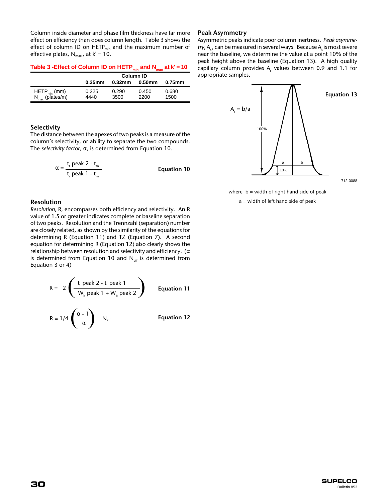Column inside diameter and phase film thickness have far more effect on efficiency than does column length. Table 3 shows the effect of column ID on  $HETP_{min}$  and the maximum number of effective plates,  $N_{max}$ , at  $k' = 10$ .

| Table 3 - Effect of Column ID on HETP <sub>min</sub> and N <sub>max</sub> at $k' = 10$ |  |  |
|----------------------------------------------------------------------------------------|--|--|
|----------------------------------------------------------------------------------------|--|--|

|                                                         | Column ID     |               |               |               |
|---------------------------------------------------------|---------------|---------------|---------------|---------------|
|                                                         | $0.25$ mm     | $0.32$ mm     | 0.50mm        | 0.75mm        |
| HETP <sub>min</sub> (mm)<br>N <sub>max</sub> (plates/m) | 0.225<br>4440 | 0.290<br>3500 | 0.450<br>2200 | 0.680<br>1500 |

#### **Selectivity**

The distance between the apexes of two peaks is a measure of the column's selectivity, or ability to separate the two compounds. The *selectivity factor*, α, is determined from Equation 10.

$$
\alpha = \frac{t_r \text{ peak } 2 - t_m}{t_r \text{ peak } 1 - t_m}
$$
 **Equation 10**

#### **Resolution**

*Resolution*, R, encompasses both efficiency and selectivity. An R value of 1.5 or greater indicates complete or baseline separation of two peaks. Resolution and the Trennzahl (separation) number are closely related, as shown by the similarity of the equations for determining R (Equation 11) and TZ (Equation 7). A second equation for determining R (Equation 12) also clearly shows the relationship between resolution and selectivity and efficiency. ( $\alpha$ is determined from Equation 10 and  $N_{\text{eff}}$  is determined from Equation 3 or 4)

$$
R = 2 \left( \frac{t_{r} \text{ peak } 2 - t_{r} \text{ peak } 1}{W_{b} \text{ peak } 1 + W_{b} \text{ peak } 2} \right)
$$
 Equation 11  

$$
R = 1/4 \left( \frac{\alpha - 1}{\alpha} \right) N_{eff}
$$
 Equation 12

#### **Peak Asymmetry**

Asymmetric peaks indicate poor column inertness. *Peak asymmetry,* A<sub>s</sub>, can be measured in several ways. Because A<sub>s</sub> is most severe near the baseline, we determine the value at a point 10% of the peak height above the baseline (Equation 13). A high quality capillary column provides  $\mathsf{A}_\varsigma$  values between 0.9 and 1.1 for appropriate samples.



where  $b = width of right$  hand side of peak

a = width of left hand side of peak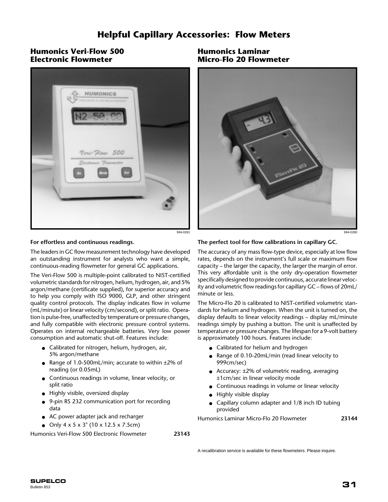# **Helpful Capillary Accessories: Flow Meters**

# **Humonics Veri-Flow 500 Electronic Flowmeter**



**Humonics Laminar Micro-Flo 20 Flowmeter**



#### **For effortless and continuous readings.**

The leaders in GC flow measurement technology have developed an outstanding instrument for analysts who want a simple, continuous-reading flowmeter for general GC applications.

The Veri-Flow 500 is multiple-point calibrated to NIST-certified volumetric standards for nitrogen, helium, hydrogen, air, and 5% argon/methane (certificate supplied), for superior accuracy and to help you comply with ISO 9000, GLP, and other stringent quality control protocols. The display indicates flow in volume (mL/minute) or linear velocity (cm/second), or split ratio. Operation is pulse-free, unaffected by temperature or pressure changes, and fully compatible with electronic pressure control systems. Operates on internal rechargeable batteries. Very low power consumption and automatic shut-off. Features include:

- Calibrated for nitrogen, helium, hydrogen, air, 5% argon/methane
- Range of 1.0-500mL/min; accurate to within ±2% of reading (or 0.05mL)
- Continuous readings in volume, linear velocity, or split ratio
- Highly visible, oversized display
- 9-pin RS 232 communication port for recording data
- AC power adapter jack and recharger
- Only  $4 \times 5 \times 3$ " (10  $\times$  12.5  $\times$  7.5cm)

Humonics Veri-Flow 500 Electronic Flowmeter **23143**

**The perfect tool for flow calibrations in capillary GC.**

The accuracy of any mass flow-type device, especially at low flow rates, depends on the instrument's full scale or maximum flow capacity – the larger the capacity, the larger the margin of error. This very affordable unit is the only dry-operation flowmeter specifically designed to provide continuous, accurate linear velocity and volumetric flow readings for capillary GC – flows of 20mL/ minute or less.

The Micro-Flo 20 is calibrated to NIST-certified volumetric standards for helium and hydrogen. When the unit is turned on, the display defaults to linear velocity readings – display mL/minute readings simply by pushing a button. The unit is unaffected by temperature or pressure changes. The lifespan for a 9-volt battery is approximately 100 hours. Features include:

- Calibrated for helium and hydrogen
- Range of 0.10-20mL/min (read linear velocity to 999cm/sec)
- Accuracy:  $\pm 2\%$  of volumetric reading, averaging ±1cm/sec in linear velocity mode
- Continuous readings in volume or linear velocity
- Highly visible display
- Capillary column adapter and 1/8 inch ID tubing provided

Humonics Laminar Micro-Flo 20 Flowmeter **23144**

A recalibration service is available for these flowmeters. Please inquire.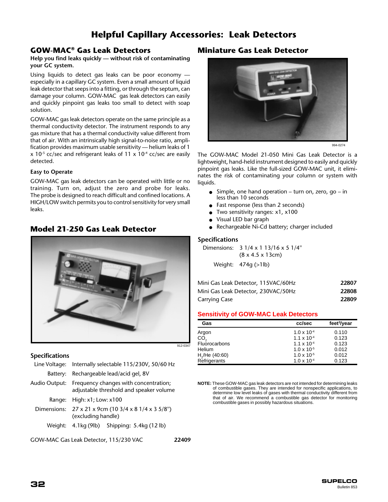# **Helpful Capillary Accessories: Leak Detectors**

# **GOW-MAC® Gas Leak Detectors**

#### **Help you find leaks quickly — without risk of contaminating your GC system.**

Using liquids to detect gas leaks can be poor economy especially in a capillary GC system. Even a small amount of liquid leak detector that seeps into a fitting, or through the septum, can damage your column. GOW-MAC gas leak detectors can easily and quickly pinpoint gas leaks too small to detect with soap solution.

GOW-MAC gas leak detectors operate on the same principle as a thermal conductivity detector. The instrument responds to any gas mixture that has a thermal conductivity value different from that of air. With an intrinsically high signal-to-noise ratio, amplification provides maximum usable sensitivity — helium leaks of 1  $x$  10<sup>-5</sup> cc/sec and refrigerant leaks of 11 x 10<sup>-4</sup> cc/sec are easily detected.

#### **Easy to Operate**

GOW-MAC gas leak detectors can be operated with little or no training. Turn on, adjust the zero and probe for leaks. The probe is designed to reach difficult and confined locations. A HIGH/LOW switch permits you to control sensitivity for very small leaks.

# **Model 21-250 Gas Leak Detector**



## **Specifications**

|          | Line Voltage: Internally selectable 115/230V, 50/60 Hz                                         |  |  |  |  |
|----------|------------------------------------------------------------------------------------------------|--|--|--|--|
| Battery: | Rechargeable lead/acid gel, 8V                                                                 |  |  |  |  |
|          | Audio Output: Frequency changes with concentration;<br>adjustable threshold and speaker volume |  |  |  |  |
| Range:   | High: $x1$ ; Low: $x100$                                                                       |  |  |  |  |
|          | Dimensions: 27 x 21 x 9cm (10 3/4 x 8 1/4 x 3 5/8")<br>(excluding handle)                      |  |  |  |  |
| Weiaht:  | 4.1kg (9lb) Shipping: 5.4kg (12 lb)                                                            |  |  |  |  |
|          |                                                                                                |  |  |  |  |

GOW-MAC Gas Leak Detector, 115/230 VAC **22409**

# **Miniature Gas Leak Detector**



994-0274

The GOW-MAC Model 21-050 Mini Gas Leak Detector is a lightweight, hand-held instrument designed to easily and quickly pinpoint gas leaks. Like the full-sized GOW-MAC unit, it eliminates the risk of contaminating your column or system with liquids.

- Simple, one hand operation turn on, zero, go in less than 10 seconds
- Fast response (less than 2 seconds)
- Two sensitivity ranges: x1, x100
- Visual LED bar graph
- Rechargeable Ni-Cd battery; charger included

#### **Specifications**

Dimensions: 3 1/4 x 1 13/16 x 5 1/4'' (8 x 4.5 x 13cm)

Weight: 474g (>1lb)

| Mini Gas Leak Detector, 115VAC/60Hz | 22807 |
|-------------------------------------|-------|
| Mini Gas Leak Detector, 230VAC/50Hz | 22808 |
| Carrying Case                       | 22809 |

#### **Sensitivity of GOW-MAC Leak Detectors**

| Gas                        | cc/sec               | feet <sup>3</sup> /year |
|----------------------------|----------------------|-------------------------|
| Argon                      | $1.0 \times 10^{-4}$ | 0.110                   |
| CO,                        | $1.1 \times 10^{-4}$ | 0.123                   |
| <b>Fluorocarbons</b>       | $1.1 \times 10^{-4}$ | 0.123                   |
| Helium                     | $1.0 \times 10^{-5}$ | 0.012                   |
| H <sub>2</sub> /He (40:60) | $1.0 \times 10^{-5}$ | 0.012                   |
| Refrigerants               | $1.0 \times 10^{-4}$ | 0.123                   |

**NOTE:** These GOW-MAC gas leak detectors are not intended for determining leaks of combustible gases. They are intended for nonspecific applications, to determine low level leaks of gases with thermal conductivity different from that of air. We recommend a combustible gas detector for monitoring combustible gases in possibly hazardous situations.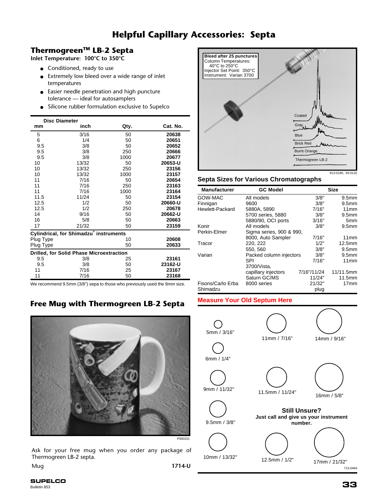# **Helpful Capillary Accessories: Septa**

# **ThermogreenTM LB-2 Septa**

**Inlet Temperature: 100°C to 350°C**

- Conditioned, ready to use
- Extremely low bleed over a wide range of inlet temperatures
- Easier needle penetration and high puncture tolerance — ideal for autosamplers
- Silicone rubber formulation exclusive to Supelco

| <b>Disc Diameter</b>                     |       |      |          |  |  |
|------------------------------------------|-------|------|----------|--|--|
| mm                                       | inch  | Qty. | Cat. No. |  |  |
| 5                                        | 3/16  | 50   | 20638    |  |  |
| 6                                        | 1/4   | 50   | 20651    |  |  |
| 9.5                                      | 3/8   | 50   | 20652    |  |  |
| 9.5                                      | 3/8   | 250  | 20666    |  |  |
| 9.5                                      | 3/8   | 1000 | 20677    |  |  |
| 10                                       | 13/32 | 50   | 20653-U  |  |  |
| 10                                       | 13/32 | 250  | 23156    |  |  |
| 10                                       | 13/32 | 1000 | 23157    |  |  |
| 11                                       | 7/16  | 50   | 20654    |  |  |
| 11                                       | 7/16  | 250  | 23163    |  |  |
| 11                                       | 7/16  | 1000 | 23164    |  |  |
| 11.5                                     | 11/24 | 50   | 23154    |  |  |
| 12.5                                     | 1/2   | 50   | 20660-U  |  |  |
| 12.5                                     | 1/2   | 250  | 20678    |  |  |
| 14                                       | 9/16  | 50   | 20662-U  |  |  |
| 16                                       | 5/8   | 50   | 20663    |  |  |
| 17                                       | 21/32 | 50   | 23159    |  |  |
| Cylindrical, for Shimadzu instruments    |       |      |          |  |  |
| Plug Type                                |       | 10   | 20608    |  |  |
| Plug Type                                |       | 50   | 20633    |  |  |
| Drilled, for Solid Phase Microextraction |       |      |          |  |  |
| 9.5                                      | 3/8   | 25   | 23161    |  |  |
| 9.5                                      | 3/8   | 50   | 23162-U  |  |  |
| 11                                       | 7/16  | 25   | 23167    |  |  |
| 11                                       | 7/16  | 50   | 23168    |  |  |

We recommend 9.5mm (3/8") sepa to those who previously used the 9mm size.

# **Free Mug with Thermogreen LB-2 Septa**



Ask for your free mug when you order any package of Thermogreen LB-2 septa.

Mug **1714-U**



## **Septa Sizes for Various Chromatographs**

| <b>Manufacturer</b> | <b>GC Model</b>          |             | <b>Size</b>        |  |  |  |
|---------------------|--------------------------|-------------|--------------------|--|--|--|
| GOW-MAC             | All models               | 3/8"        | 9.5 <sub>mm</sub>  |  |  |  |
| Finnigan            | 9600                     | 3/8"        | 9.5 <sub>mm</sub>  |  |  |  |
| Hewlett-Packard     | 5880A, 5890              | 7/16"       | 11mm               |  |  |  |
|                     | 5700 series, 5880        | 3/8"        | 9.5 <sub>mm</sub>  |  |  |  |
|                     | 5880/90, OCI ports       | 3/16"       | 5mm                |  |  |  |
| Konir               | All models               | 3/8"        | 9.5 <sub>mm</sub>  |  |  |  |
| Perkin-Elmer        | Sigma series, 900 & 990, |             |                    |  |  |  |
|                     | 8000, Auto Sampler       | 7/16"       | 11mm               |  |  |  |
| Tracor              | 220, 222                 | 1/2"        | 12.5 <sub>mm</sub> |  |  |  |
|                     | 550, 560                 | 3/8"        | 9.5 <sub>mm</sub>  |  |  |  |
| Varian              | Packed column injectors  | 3/8"        | 9.5 <sub>mm</sub>  |  |  |  |
|                     | SPI                      | 7/16"       | 11mm               |  |  |  |
|                     | 3700/Vista,              |             |                    |  |  |  |
|                     | capillary injectors      | 7/16"/11/24 | 11/11.5mm          |  |  |  |
|                     | Saturn GC/MS             | 11/24"      | 11.5mm             |  |  |  |
| Fisons/Carlo Erba   | 8000 series              | 21/32"      | 17 <sub>mm</sub>   |  |  |  |
| Shimadzu            |                          | plug        |                    |  |  |  |

# **Measure Your Old Septum Here**



**33 SUPELCO** Bulletin 853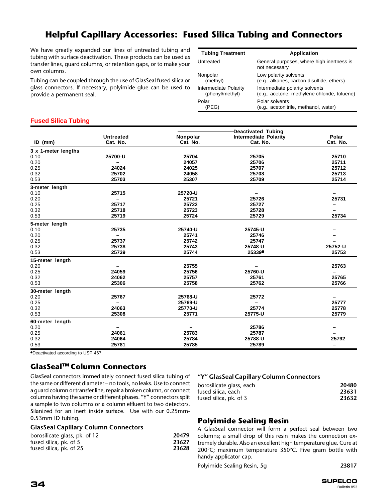# **Helpful Capillary Accessories: Fused Silica Tubing and Connectors**

We have greatly expanded our lines of untreated tubing and tubing with surface deactivation. These products can be used as transfer lines, guard columns, or retention gaps, or to make your own columns.

Tubing can be coupled through the use of GlasSeal fused silica or glass connectors. If necessary, polyimide glue can be used to provide a permanent seal.

| <b>Tubing Treatment</b>      | <b>Application</b>                                         |
|------------------------------|------------------------------------------------------------|
| Untreated                    | General purposes, where high inertness is<br>not necessary |
| Nonpolar                     | Low polarity solvents                                      |
| (methyl)                     | (e.g., alkanes, carbon disulfide, ethers)                  |
| <b>Intermediate Polarity</b> | Intermediate polarity solvents                             |
| (phenyl/methyl)              | (e.g., acetone, methylene chloride, toluene)               |
| Polar                        | Polar solvents                                             |
| 'PEGI                        | (e.g., acetonitrile, methanol, water)                      |

## **Fused Silica Tubing**

| -Deactivated Tubing-<br>Nonpolar<br><b>Intermediate Polarity</b><br><b>Untreated</b><br>Cat. No.<br>Cat. No.<br>Cat. No.<br>$ID$ (mm)<br>3 x 1-meter lengths<br>0.10<br>25700-U<br>25704<br>25705<br>0.20<br>24057<br>25706<br>0.25<br>24024<br>24025<br>25707<br>0.32<br>25702<br>24058<br>25708<br>0.53<br>25703<br>25709<br>25307 | Polar<br>Cat. No.<br>25710<br>25711<br>25712<br>25713 |
|--------------------------------------------------------------------------------------------------------------------------------------------------------------------------------------------------------------------------------------------------------------------------------------------------------------------------------------|-------------------------------------------------------|
|                                                                                                                                                                                                                                                                                                                                      |                                                       |
|                                                                                                                                                                                                                                                                                                                                      |                                                       |
|                                                                                                                                                                                                                                                                                                                                      |                                                       |
|                                                                                                                                                                                                                                                                                                                                      |                                                       |
|                                                                                                                                                                                                                                                                                                                                      |                                                       |
|                                                                                                                                                                                                                                                                                                                                      |                                                       |
|                                                                                                                                                                                                                                                                                                                                      |                                                       |
|                                                                                                                                                                                                                                                                                                                                      | 25714                                                 |
| 3-meter length                                                                                                                                                                                                                                                                                                                       |                                                       |
| 0.10<br>25715<br>25720-U                                                                                                                                                                                                                                                                                                             |                                                       |
| 0.20<br>25721<br>25726                                                                                                                                                                                                                                                                                                               | 25731                                                 |
| 0.25<br>25717<br>25722<br>25727                                                                                                                                                                                                                                                                                                      |                                                       |
| 0.32<br>25718<br>25723<br>25728                                                                                                                                                                                                                                                                                                      |                                                       |
| 0.53<br>25719<br>25724<br>25729                                                                                                                                                                                                                                                                                                      | 25734                                                 |
| 5-meter length                                                                                                                                                                                                                                                                                                                       |                                                       |
| 25735<br>25740-U<br>0.10<br>25745-U                                                                                                                                                                                                                                                                                                  |                                                       |
| 0.20<br>25741<br>25746                                                                                                                                                                                                                                                                                                               |                                                       |
| 0.25<br>25737<br>25742<br>25747                                                                                                                                                                                                                                                                                                      |                                                       |
| 0.32<br>25738<br>25743<br>25748-U                                                                                                                                                                                                                                                                                                    | 25752-U                                               |
| 25739<br>0.53<br>25744<br>25339                                                                                                                                                                                                                                                                                                      | 25753                                                 |
| 15-meter length                                                                                                                                                                                                                                                                                                                      |                                                       |
| 0.20<br>25755<br>$\overline{\phantom{m}}$                                                                                                                                                                                                                                                                                            | 25763                                                 |
| 0.25<br>24059<br>25756<br>25760-U                                                                                                                                                                                                                                                                                                    | —                                                     |
| 0.32<br>24062<br>25757<br>25761                                                                                                                                                                                                                                                                                                      | 25765                                                 |
| 0.53<br>25306<br>25758<br>25762                                                                                                                                                                                                                                                                                                      | 25766                                                 |
| 30-meter length                                                                                                                                                                                                                                                                                                                      |                                                       |
| 0.20<br>25767<br>25768-U<br>25772                                                                                                                                                                                                                                                                                                    | —                                                     |
| 0.25<br>25769-U<br>$\qquad \qquad -$                                                                                                                                                                                                                                                                                                 | 25777                                                 |
| 0.32<br>25774<br>24063<br>25770-U                                                                                                                                                                                                                                                                                                    | 25778                                                 |
| 0.53<br>25308<br>25771<br>25775-U                                                                                                                                                                                                                                                                                                    | 25779                                                 |
| 60-meter length                                                                                                                                                                                                                                                                                                                      |                                                       |
| 0.20<br>25786                                                                                                                                                                                                                                                                                                                        |                                                       |
| 0.25<br>24061<br>25783<br>25787                                                                                                                                                                                                                                                                                                      |                                                       |
| 0.32<br>24064<br>25784<br>25788-U                                                                                                                                                                                                                                                                                                    | 25792                                                 |
| 0.53<br>25781<br>25785<br>25789                                                                                                                                                                                                                                                                                                      | —                                                     |

●Deactivated according to USP 467.

# **GlasSealTM Column Connectors**

GlasSeal connectors immediately connect fused silica tubing of the same or different diameter – no tools, no leaks. Use to connect a guard column or transfer line, repair a broken column, or connect columns having the same or different phases. "Y" connectors split a sample to two columns or a column effluent to two detectors. Silanized for an inert inside surface. Use with our 0.25mm-0.53mm ID tubing.

## **GlasSeal Capillary Column Connectors**

| borosilicate glass, pk. of 12 | 20479 |
|-------------------------------|-------|
| fused silica, pk. of 5        | 23627 |
| fused silica, pk. of 25       | 23628 |

# **"Y" GlasSeal Capillary Column Connectors**

| borosilicate glass, each | 20480 |
|--------------------------|-------|
| fused silica, each       | 23631 |
| fused silica, pk. of 3   | 23632 |

# **Polyimide Sealing Resin**

A GlasSeal connector will form a perfect seal between two columns; a small drop of this resin makes the connection extremely durable. Also an excellent high temperature glue. Cure at 200°C; maximum temperature 350°C. Five gram bottle with handy applicator cap.

Polyimide Sealing Resin, 5g **23817**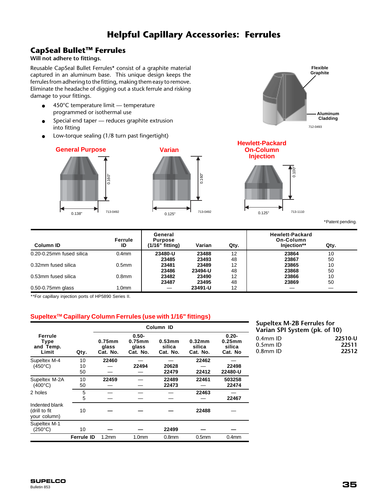# **Helpful Capillary Accessories: Ferrules**

# **CapSeal BulletTM Ferrules**

# **Will not adhere to fittings.**

Reusable CapSeal Bullet Ferrules\* consist of a graphite material captured in an aluminum base. This unique design keeps the ferrules from adhering to the fitting, making them easy to remove. Eliminate the headache of digging out a stuck ferrule and risking damage to your fittings.

- 450°C temperature limit temperature programmed or isothermal use
- Special end taper reduces graphite extrusion into fitting
- Low-torque sealing (1/8 turn past fingertight)

# **General Purpose**







0.125"

\*Patent pending.

**Flexible Graphite**

> **Aluminum Cladding**

| Column ID                | Ferrule<br>ID     | General<br><b>Purpose</b><br>$(1/16"$ fitting) | Varian  | Qty. | <b>Hewlett-Packard</b><br>On-Column<br>Injection** | Qty. |
|--------------------------|-------------------|------------------------------------------------|---------|------|----------------------------------------------------|------|
| 0.20-0.25mm fused silica | 0.4 <sub>mm</sub> | 23480-U                                        | 23488   | 12   | 23864                                              | 10   |
|                          |                   | 23485                                          | 23493   | 48   | 23867                                              | 50   |
| 0.32mm fused silica      | 0.5 <sub>mm</sub> | 23481                                          | 23489   | 12   | 23865                                              | 10   |
|                          |                   | 23486                                          | 23494-U | 48   | 23868                                              | 50   |
| 0.53mm fused silica      | 0.8 <sub>mm</sub> | 23482                                          | 23490   | 12   | 23866                                              | 10   |
|                          |                   | 23487                                          | 23495   | 48   | 23869                                              | 50   |
| $0.50 - 0.75$ mm glass   | 1.0mm             |                                                | 23491-U | 12   |                                                    |      |

\*\*For capillary injection ports of HP5890 Series II.

# **SupeltexTM Capillary Column Ferrules (use with 1/16" fittings)**

|                                                 |                   | Column ID                      |                                            |                              |                              |                                            |
|-------------------------------------------------|-------------------|--------------------------------|--------------------------------------------|------------------------------|------------------------------|--------------------------------------------|
| Ferrule<br>Type<br>and Temp.<br>Limit           | Qty.              | $0.75$ mm<br>glass<br>Cat. No. | $0.50 -$<br>$0.75$ mm<br>glass<br>Cat. No. | 0.53mm<br>silica<br>Cat. No. | 0.32mm<br>silica<br>Cat. No. | $0.20 -$<br>$0.25$ mm<br>silica<br>Cat. No |
| Supeltex M-4<br>$(450^{\circ}C)$                | 10<br>10<br>50    | 22460                          | 22494                                      | 20628<br>22479               | 22462<br>22412               | 22498<br>22480-U                           |
| Supeltex M-2A<br>$(400^{\circ}C)$               | 10<br>50          | 22459                          |                                            | 22489<br>22473               | 22461                        | 503258<br>22474                            |
| 2 holes                                         | 5<br>5            |                                |                                            |                              | 22463                        | 22467                                      |
| Indented blank<br>(drill to fit<br>your column) | 10                |                                |                                            |                              | 22488                        |                                            |
| Supeltex M-1<br>$(250^{\circ}C)$                | 10                |                                |                                            | 22499                        |                              |                                            |
|                                                 | <b>Ferrule ID</b> | 1.2mm                          | 1.0 <sub>mm</sub>                          | 0.8 <sub>mm</sub>            | 0.5 <sub>mm</sub>            | 0.4 <sub>mm</sub>                          |

# **Supeltex M-2B Ferrules for Varian SPI System (pk. of 10)**

| 22510-U |
|---------|
| 22511   |
| 22512   |
|         |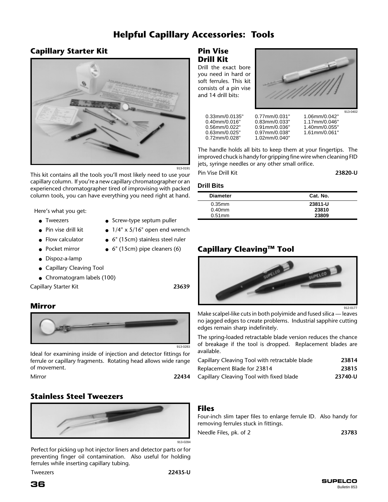# **Helpful Capillary Accessories: Tools**

# **Capillary Starter Kit**



913-0191

This kit contains all the tools you'll most likely need to use your capillary column. If you're a new capillary chromatographer or an experienced chromatographer tired of improvising with packed column tools, you can have everything you need right at hand.

Here's what you get:

- Tweezers
- Pin vise drill kit
- Flow calculator ● Pocket mirror
- Screw-type septum puller
- $\bullet$  1/4" x 5/16" open end wrench
- 
- $\bullet$  6" (15cm) pipe cleaners (6)
- Dispoz-a-lamp
- Capillary Cleaving Tool
- Chromatogram labels (100)

Capillary Starter Kit **23639**

# **Mirror**



Ideal for examining inside of injection and detector fittings for ferrule or capillary fragments. Rotating head allows wide range of movement.

Mirror **22434**

# **Stainless Steel Tweezers**



Perfect for picking up hot injector liners and detector parts or for preventing finger oil contamination. Also useful for holding ferrules while inserting capillary tubing.

Tweezers **22435-U**

- 
- 6" (15cm) stainless steel ruler
	-

**Pin Vise Drill Kit** Drill the exact bore

you need in hard or soft ferrules. This kit consists of a pin vise and 14 drill bits:



0.33mm/0.0135" 0.77mm/0.031" 1.06mm/0.042" 0.40mm/0.016" 0.83mm/0.033" 1.17mm/0.046'<br>0.56mm/0.022" 0.91mm/0.036" 1.40mm/0.055' 0.56mm/0.022" 0.91mm/0.036" 1.40mm/0.055" 0.63mm/0.025" 0.97mm/0.038"<br>0.72mm/0.028" 1.02mm/0.040" 0.72mm/0.028" 1.02mm/0.040"

The handle holds all bits to keep them at your fingertips. The improved chuck is handy for gripping fine wire when cleaning FID jets, syringe needles or any other small orifice.

Pin Vise Drill Kit **23820-U**

# **Drill Bits**

| <b>Diameter</b> | Cat. No. |
|-----------------|----------|
| $0.35$ mm       | 23811-U  |
| $0.40$ mm       | 23810    |
| $0.51$ mm       | 23809    |

# **Capillary CleavingTM Tool**



912-0177

Make scalpel-like cuts in both polyimide and fused silica — leaves no jagged edges to create problems. Industrial sapphire cutting edges remain sharp indefinitely.

The spring-loaded retractable blade version reduces the chance of breakage if the tool is dropped. Replacement blades are available.

| Capillary Cleaving Tool with retractable blade | 23814   |
|------------------------------------------------|---------|
| Replacement Blade for 23814                    | 23815   |
| Capillary Cleaving Tool with fixed blade       | 23740-U |

# **Files**

Four-inch slim taper files to enlarge ferrule ID. Also handy for removing ferrules stuck in fittings.

| Needle Files, pk. of 2 | 23783 |
|------------------------|-------|
|------------------------|-------|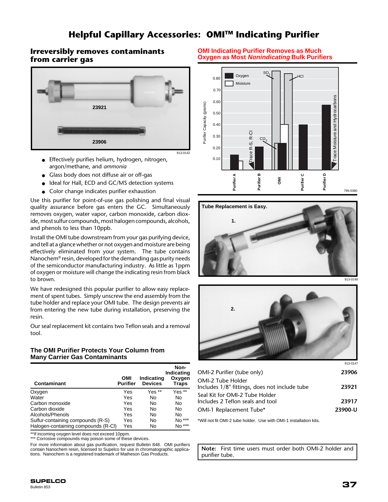# **Helpful Capillary Accessories: OMITM Indicating Purifier**

# **Irreversibly removes contaminants from carrier gas**



- Effectively purifies helium, hydrogen, nitrogen, argon/methane, and *ammonia*
- Glass body does not diffuse air or off-gas
- Ideal for Hall, ECD and GC/MS detection systems
- Color change indicates purifier exhaustion

Use this purifier for point-of-use gas polishing and final visual quality assurance before gas enters the GC. Simultaneously removes oxygen, water vapor, carbon monoxide, carbon dioxide, most sulfur compounds, most halogen compounds, alcohols, and phenols to less than 10ppb.

Install the OMI tube downstream from your gas purifying device, and tell at a glance whether or not oxygen and moisture are being effectively eliminated from your system. The tube contains Nanochem® resin, developed for the demanding gas purity needs of the semiconductor manufacturing industry. As little as 1ppm of oxygen or moisture will change the indicating resin from black to brown.

We have redesigned this popular purifier to allow easy replacement of spent tubes. Simply unscrew the end assembly from the tube holder and replace your OMI tube. The design prevents air from entering the new tube during installation, preserving the resin.

Our seal replacement kit contains two Teflonseals and a removal tool.

## **The OMI Purifier Protects Your Column from Many Carrier Gas Contaminants**

|                                     |                        |                              | Non-<br>Indicating     |
|-------------------------------------|------------------------|------------------------------|------------------------|
| Contaminant                         | OMI<br><b>Purifier</b> | Indicating<br><b>Devices</b> | Oxygen<br><b>Traps</b> |
| Oxygen                              | Yes                    | Yes **                       | Yes **                 |
| Water                               | Yes                    | No                           | No                     |
| Carbon monoxide                     | Yes                    | No                           | No                     |
| Carbon dioxide                      | Yes                    | No                           | No                     |
| Alcohols/Phenols                    | Yes                    | No                           | No                     |
| Sulfur-containing compounds (R-S)   | Yes                    | No                           | No ***                 |
| Halogen-containing compounds (R-CI) | Yes                    | No                           | No ***                 |

\*\*If incoming oxygen level does not exceed 10ppm.

\*\*\* Corrosive compounds may poison some of these devices.

For more information about gas purification, request Bulletin 848. OMI purifiers contain Nanochem resin, licensed to Supelco for use in chromatographic applications. Nanochem is a registered trademark of Matheson Gas Products.

#### **OMI Indicating Purifier Removes as Much Oxygen as Most Nonindicating Bulk Purifiers**







| 23906   |
|---------|
| 23921   |
| 23917   |
| 23900-U |
|         |

\*Will not fit OMI-2 tube holder. Use with OMI-1 installation kits.

**Note:** First time users must order both OMI-2 holder and purifier tube.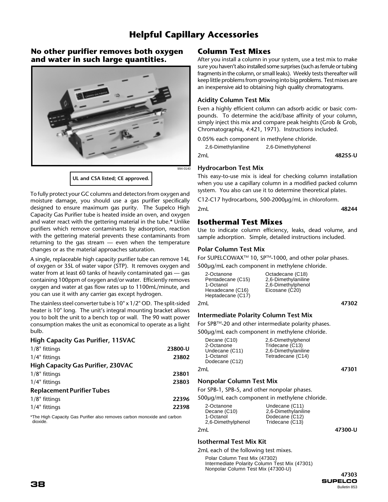# **Helpful Capillary Accessories**

# **No other purifier removes both oxygen and water in such large quantities.**



To fully protect your GC columns and detectors from oxygen and moisture damage, you should use a gas purifier specifically designed to ensure maximum gas purity. The Supelco High Capacity Gas Purifier tube is heated inside an oven, and oxygen and water react with the gettering material in the tube.**\*** Unlike purifiers which remove contaminants by adsorption, reaction with the gettering material prevents these contaminants from returning to the gas stream — even when the temperature changes or as the material approaches saturation.

A single, replaceable high capacity purifier tube can remove 14L of oxygen or 35L of water vapor (STP). It removes oxygen and water from at least 60 tanks of heavily contaminated gas — gas containing 100ppm of oxygen and/or water. Efficiently removes oxygen and water at gas flow rates up to 1100mL/minute, and you can use it with any carrier gas except hydrogen.

The stainless steel converter tube is 10" x 1/2" OD. The split-sided heater is 10" long. The unit's integral mounting bracket allows you to bolt the unit to a bench top or wall. The 90 watt power consumption makes the unit as economical to operate as a light bulb.

#### **High Capacity Gas Purifier, 115VAC**

| $1/8$ " fittings                          | 23800-U |
|-------------------------------------------|---------|
| 1/4" fittings                             | 23802   |
| <b>High Capacity Gas Purifier, 230VAC</b> |         |
| $1/8$ " fittings                          | 23801   |
| 1/4" fittings                             | 23803   |
| <b>Replacement Purifier Tubes</b>         |         |
| 1/8" fittings                             | 22396   |
| 1/4" fittings                             | 22398   |

\*The High Capacity Gas Purifier also removes carbon monoxide and carbon dioxide.

# **Column Test Mixes**

After you install a column in your system, use a test mix to make sure you haven't also installed some surprises (such as ferrule or tubing fragments in the column, or small leaks). Weekly tests thereafter will keep little problems from growing into big problems. Test mixes are an inexpensive aid to obtaining high quality chromatograms.

## **Acidity Column Test Mix**

Even a highly efficient column can adsorb acidic or basic compounds. To determine the acid/base affinity of your column, simply inject this mix and compare peak heights (Grob & Grob, Chromatographia, *4*:421, 1971). Instructions included.

0.05% each component in methylene chloride.

| 2,6-Dimethylaniline | 2,6-Dimethylphenol |         |
|---------------------|--------------------|---------|
| 2mL                 |                    | 48255-U |

#### **Hydrocarbon Test Mix**

This easy-to-use mix is ideal for checking column installation when you use a capillary column in a modified packed column system. You also can use it to determine theoretical plates.

C12-C17 hydrocarbons, 500-2000µg/mL in chloroform.

```
2mL 48244
```
# **Isothermal Test Mixes**

Use to indicate column efficiency, leaks, dead volume, and sample adsorption. Simple, detailed instructions included.

#### **Polar Column Test Mix**

For SUPELCOWAX<sup>™</sup> 10, SP<sup>™</sup>-1000, and other polar phases.

500µg/mL each component in methylene chloride.

2mL **47302**

## **Intermediate Polarity Column Test Mix**

For SPB™-20 and other intermediate polarity phases. 500µg/mL each component in methylene chloride.

| Decane (C10)<br>2-Octanone                    | 2,6-Dimethylphenol<br>Tridecane (C13)    |       |
|-----------------------------------------------|------------------------------------------|-------|
| Undecane (C11)<br>1-Octanol<br>Dodecane (C12) | 2,6-Dimethylaniline<br>Tetradecane (C14) |       |
| 2ml.                                          |                                          | 47301 |

## **Nonpolar Column Test Mix**

For SPB-1, SPB-5, and other nonpolar phases.

500µg/mL each component in methylene chloride.

| 2-Octanone<br>Decane (C10)<br>1-Octanol<br>2,6-Dimethylphenol | Undecane (C11)<br>2,6-Dimethylaniline<br>Dodecane (C12)<br>Tridecane (C13) |         |
|---------------------------------------------------------------|----------------------------------------------------------------------------|---------|
| 2mL                                                           |                                                                            | 47300-U |

## **Isothermal Test Mix Kit**

2mL each of the following test mixes.

Polar Column Test Mix (47302) Intermediate Polarity Column Test Mix (47301) Nonpolar Column Test Mix (47300-U)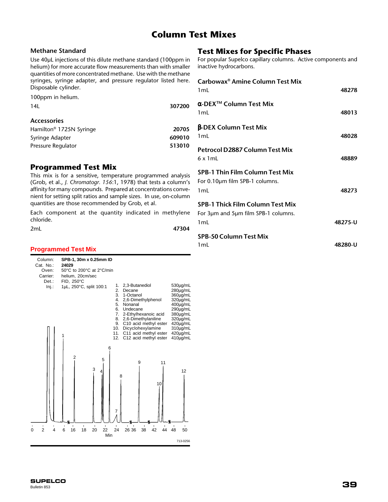# **Column Test Mixes**

## **Methane Standard**

Use 40µL injections of this dilute methane standard (100ppm in helium) for more accurate flow measurements than with smaller quantities of more concentrated methane. Use with the methane syringes, syringe adapter, and pressure regulator listed here. Disposable cylinder.

| 100ppm in helium. |  |  |  |
|-------------------|--|--|--|
|-------------------|--|--|--|

| 14L                                 | 307200 |
|-------------------------------------|--------|
| <b>Accessories</b>                  |        |
| Hamilton <sup>®</sup> 1725N Syringe | 20705  |
| Syringe Adapter                     | 609010 |
| Pressure Regulator                  | 513010 |

# **Programmed Test Mix**

This mix is for a sensitive, temperature programmed analysis (Grob, et al., *J. Chromatogr. 156*:1, 1978) that tests a column's affinity for many compounds. Prepared at concentrations convenient for setting split ratios and sample sizes. In use, on-column quantities are those recommended by Grob, et al.

Each component at the quantity indicated in methylene chloride.

| 2mL | 47304 |
|-----|-------|
|     |       |

# **Programmed Test Mix**

| Column:                                        | SPB-1, 30m x 0.25mm ID                                                                                                    |  |  |
|------------------------------------------------|---------------------------------------------------------------------------------------------------------------------------|--|--|
| Cat. No.:                                      | 24029                                                                                                                     |  |  |
| Oven:                                          | 50°C to 200°C at 2°C/min                                                                                                  |  |  |
| Carrier:                                       | helium, 20cm/sec                                                                                                          |  |  |
| $Det.$ :                                       | FID, 250°C                                                                                                                |  |  |
| $Inj.$ :                                       | 2,3-Butanediol<br>530µg/mL<br>1.<br>1µL, 250°C, split 100:1                                                               |  |  |
|                                                | 2.<br>Decane<br>280µg/mL                                                                                                  |  |  |
|                                                | 3.<br>1-Octanol<br>360µg/mL                                                                                               |  |  |
|                                                | 2,6-Dimethylphenol<br>4.<br>320ug/mL                                                                                      |  |  |
|                                                | 5.<br>Nonanal<br>400µg/mL<br>6.<br>Undecane<br>290µg/mL                                                                   |  |  |
|                                                | 7.<br>2-Ethylhexanoic acid<br>380µg/mL                                                                                    |  |  |
|                                                | 2,6-Dimethylaniline<br>8.<br>320µg/mL                                                                                     |  |  |
|                                                | C10 acid methyl ester<br>420µg/mL<br>9.                                                                                   |  |  |
|                                                | Dicyclohexylamine<br>310µg/mL<br>10.                                                                                      |  |  |
|                                                | C11 acid methyl ester<br>420ug/mL<br>11.                                                                                  |  |  |
|                                                | C12 acid methyl ester<br>12.<br>410µg/mL                                                                                  |  |  |
|                                                |                                                                                                                           |  |  |
|                                                | 6                                                                                                                         |  |  |
|                                                | $\overline{2}$                                                                                                            |  |  |
|                                                | 5<br>9<br>11                                                                                                              |  |  |
|                                                | 3                                                                                                                         |  |  |
|                                                | 12<br>4                                                                                                                   |  |  |
|                                                | 8                                                                                                                         |  |  |
|                                                | 10                                                                                                                        |  |  |
|                                                |                                                                                                                           |  |  |
|                                                |                                                                                                                           |  |  |
|                                                |                                                                                                                           |  |  |
|                                                |                                                                                                                           |  |  |
|                                                | 7                                                                                                                         |  |  |
|                                                |                                                                                                                           |  |  |
|                                                |                                                                                                                           |  |  |
| $\mathbf I$<br>$\pmb{\mathsf{I}}$<br>ı         | I.<br>$\mathbf I$<br>$\mathbf{I}$<br>$\mathbf{I}$<br>$\blacksquare$<br>I.<br>I.<br>$\mathbf{I}$<br>п<br>I.<br>п<br>п<br>г |  |  |
| $\overline{2}$<br>$\overline{\mathbf{4}}$<br>0 | 24<br>42<br>16<br>18<br>20<br>22<br>26 36<br>38<br>48<br>6<br>44<br>50                                                    |  |  |
|                                                | Min                                                                                                                       |  |  |
|                                                | 713-0256                                                                                                                  |  |  |

# **Test Mixes for Specific Phases**

For popular Supelco capillary columns. Active components and inactive hydrocarbons.

| Carbowax <sup>®</sup> Amine Column Test Mix<br>1mL                                    | 48278   |
|---------------------------------------------------------------------------------------|---------|
| $\alpha$ -DEX™ Column Test Mix<br>1 <sub>mL</sub>                                     | 48013   |
| <b>β-DEX Column Test Mix</b><br>1mL                                                   | 48028   |
| Petrocol D2887 Column Test Mix<br>$6 \times 1$ ml                                     | 48889   |
| <b>SPB-1 Thin Film Column Test Mix</b><br>For 0.10um film SPB-1 columns.<br>1mL       | 48273   |
| <b>SPB-1 Thick Film Column Test Mix</b><br>For 3um and 5um film SPB-1 columns.<br>1mL | 48275-U |
| <b>SPB-50 Column Test Mix</b><br>1 m l                                                | 48280-U |